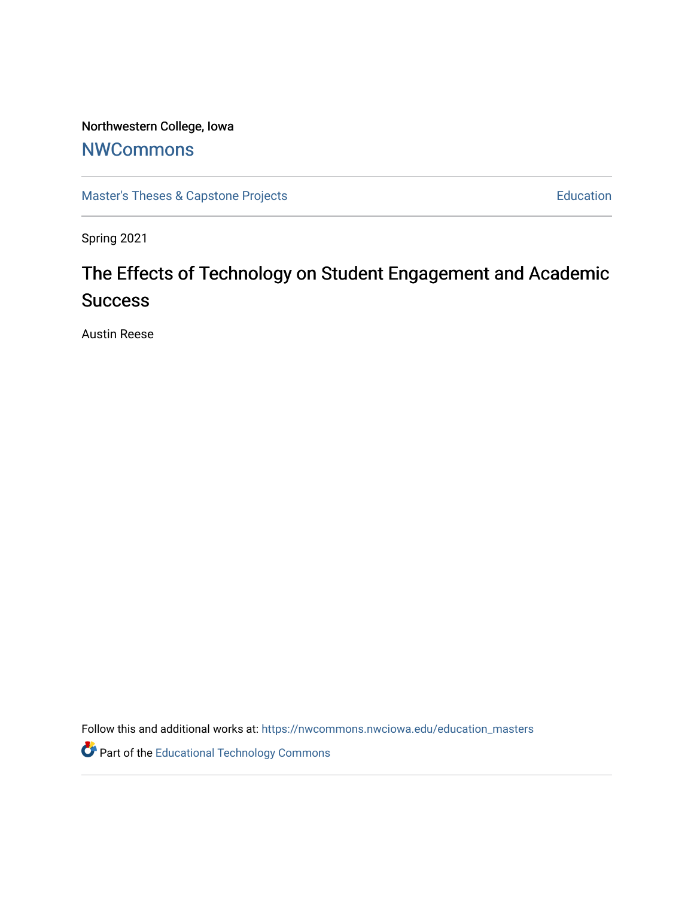## Northwestern College, Iowa

## **[NWCommons](https://nwcommons.nwciowa.edu/)**

[Master's Theses & Capstone Projects](https://nwcommons.nwciowa.edu/education_masters) **Education** Education

Spring 2021

# The Effects of Technology on Student Engagement and Academic **Success**

Austin Reese

Follow this and additional works at: [https://nwcommons.nwciowa.edu/education\\_masters](https://nwcommons.nwciowa.edu/education_masters?utm_source=nwcommons.nwciowa.edu%2Feducation_masters%2F299&utm_medium=PDF&utm_campaign=PDFCoverPages)

**Part of the Educational Technology Commons**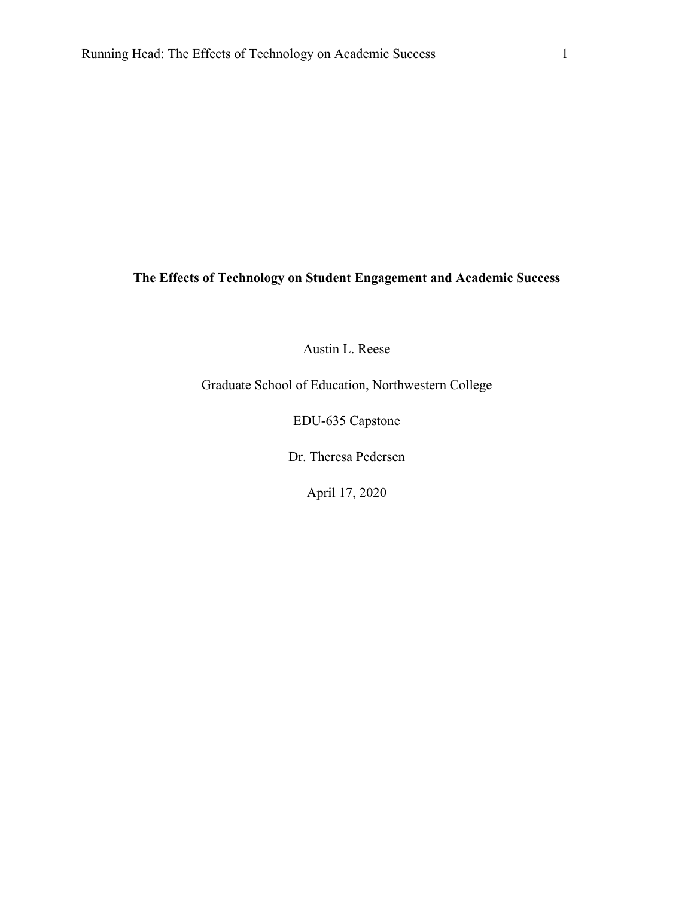### **The Effects of Technology on Student Engagement and Academic Success**

Austin L. Reese

Graduate School of Education, Northwestern College

EDU-635 Capstone

Dr. Theresa Pedersen

April 17, 2020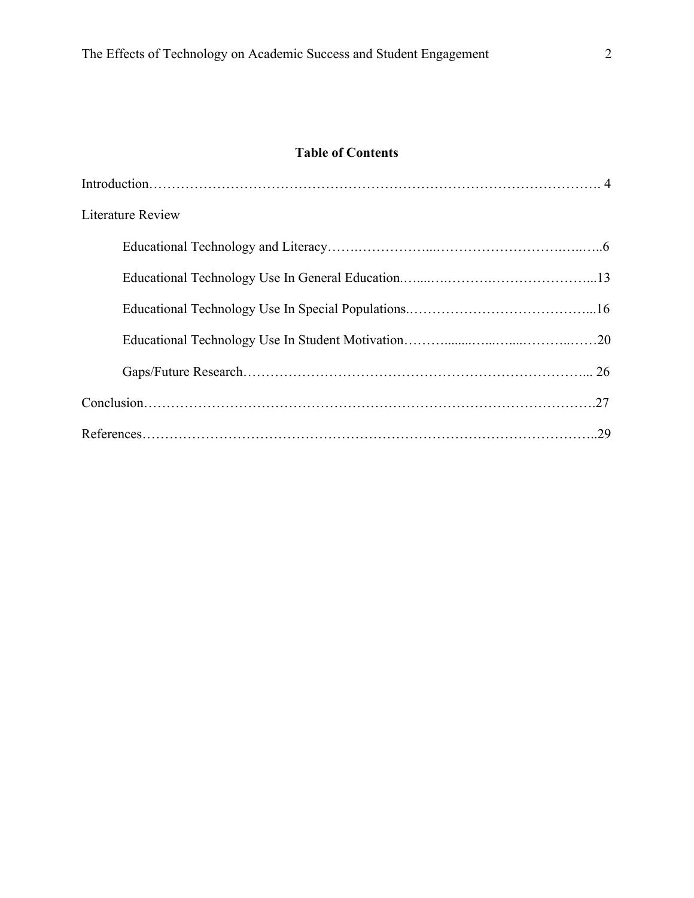## **Table of Contents**

| <b>Literature Review</b> |
|--------------------------|
|                          |
|                          |
|                          |
|                          |
|                          |
|                          |
|                          |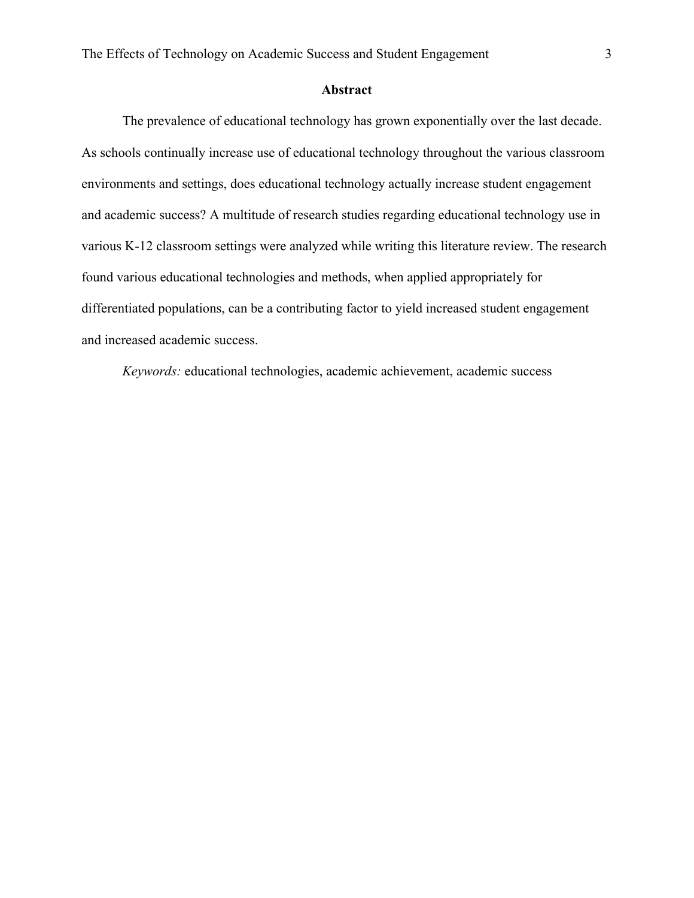#### **Abstract**

The prevalence of educational technology has grown exponentially over the last decade. As schools continually increase use of educational technology throughout the various classroom environments and settings, does educational technology actually increase student engagement and academic success? A multitude of research studies regarding educational technology use in various K-12 classroom settings were analyzed while writing this literature review. The research found various educational technologies and methods, when applied appropriately for differentiated populations, can be a contributing factor to yield increased student engagement and increased academic success.

*Keywords:* educational technologies, academic achievement, academic success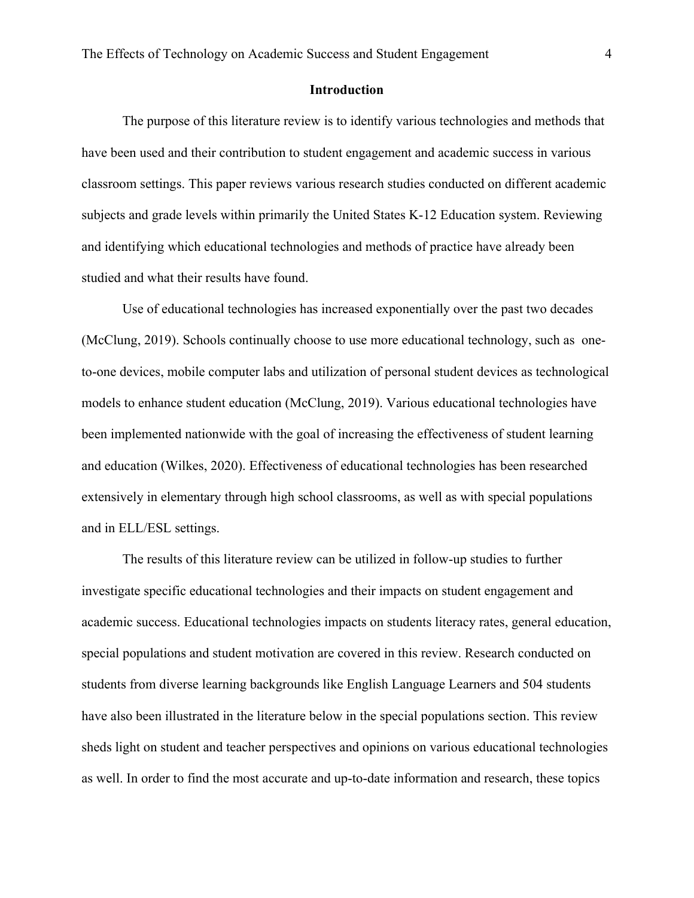#### **Introduction**

The purpose of this literature review is to identify various technologies and methods that have been used and their contribution to student engagement and academic success in various classroom settings. This paper reviews various research studies conducted on different academic subjects and grade levels within primarily the United States K-12 Education system. Reviewing and identifying which educational technologies and methods of practice have already been studied and what their results have found.

Use of educational technologies has increased exponentially over the past two decades (McClung, 2019). Schools continually choose to use more educational technology, such as oneto-one devices, mobile computer labs and utilization of personal student devices as technological models to enhance student education (McClung, 2019). Various educational technologies have been implemented nationwide with the goal of increasing the effectiveness of student learning and education (Wilkes, 2020). Effectiveness of educational technologies has been researched extensively in elementary through high school classrooms, as well as with special populations and in ELL/ESL settings.

The results of this literature review can be utilized in follow-up studies to further investigate specific educational technologies and their impacts on student engagement and academic success. Educational technologies impacts on students literacy rates, general education, special populations and student motivation are covered in this review. Research conducted on students from diverse learning backgrounds like English Language Learners and 504 students have also been illustrated in the literature below in the special populations section. This review sheds light on student and teacher perspectives and opinions on various educational technologies as well. In order to find the most accurate and up-to-date information and research, these topics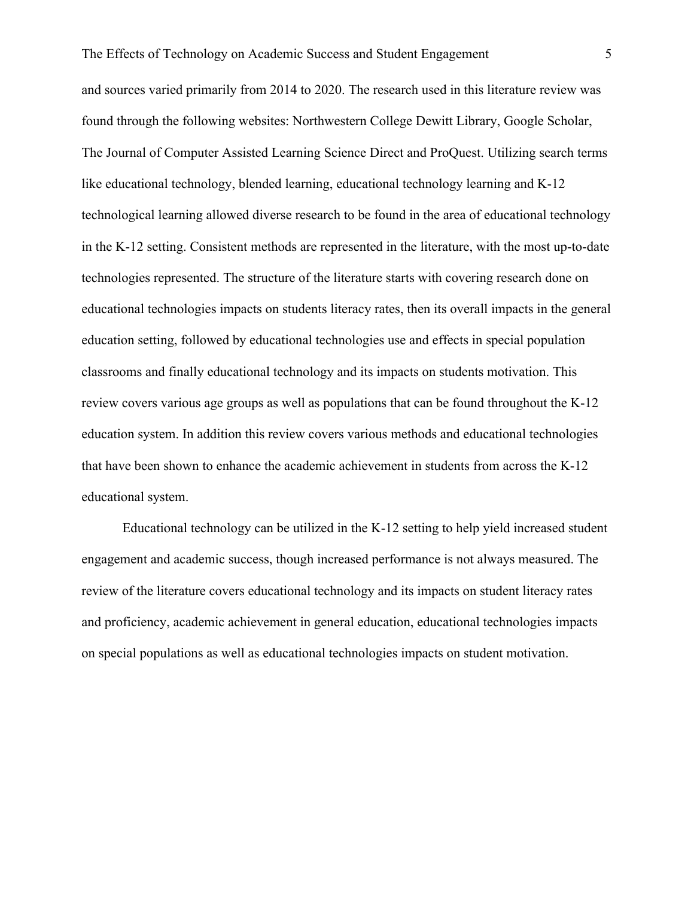and sources varied primarily from 2014 to 2020. The research used in this literature review was found through the following websites: Northwestern College Dewitt Library, Google Scholar, The Journal of Computer Assisted Learning Science Direct and ProQuest. Utilizing search terms like educational technology, blended learning, educational technology learning and K-12 technological learning allowed diverse research to be found in the area of educational technology in the K-12 setting. Consistent methods are represented in the literature, with the most up-to-date technologies represented. The structure of the literature starts with covering research done on educational technologies impacts on students literacy rates, then its overall impacts in the general education setting, followed by educational technologies use and effects in special population classrooms and finally educational technology and its impacts on students motivation. This review covers various age groups as well as populations that can be found throughout the K-12 education system. In addition this review covers various methods and educational technologies that have been shown to enhance the academic achievement in students from across the K-12 educational system.

Educational technology can be utilized in the K-12 setting to help yield increased student engagement and academic success, though increased performance is not always measured. The review of the literature covers educational technology and its impacts on student literacy rates and proficiency, academic achievement in general education, educational technologies impacts on special populations as well as educational technologies impacts on student motivation.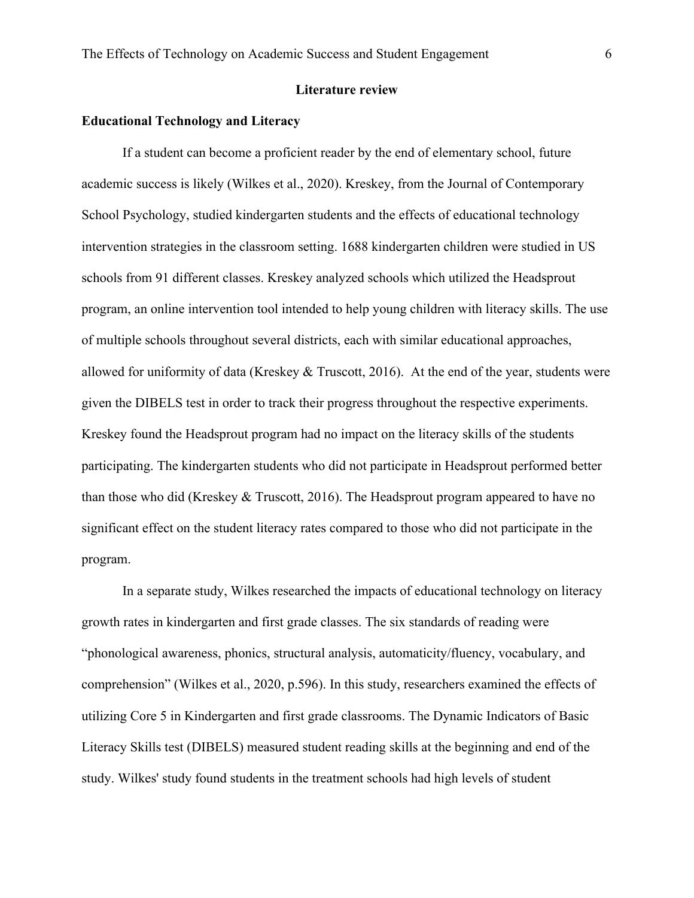#### **Literature review**

#### **Educational Technology and Literacy**

If a student can become a proficient reader by the end of elementary school, future academic success is likely (Wilkes et al., 2020). Kreskey, from the Journal of Contemporary School Psychology, studied kindergarten students and the effects of educational technology intervention strategies in the classroom setting. 1688 kindergarten children were studied in US schools from 91 different classes. Kreskey analyzed schools which utilized the Headsprout program, an online intervention tool intended to help young children with literacy skills. The use of multiple schools throughout several districts, each with similar educational approaches, allowed for uniformity of data (Kreskey & Truscott, 2016). At the end of the year, students were given the DIBELS test in order to track their progress throughout the respective experiments. Kreskey found the Headsprout program had no impact on the literacy skills of the students participating. The kindergarten students who did not participate in Headsprout performed better than those who did (Kreskey & Truscott, 2016). The Headsprout program appeared to have no significant effect on the student literacy rates compared to those who did not participate in the program.

In a separate study, Wilkes researched the impacts of educational technology on literacy growth rates in kindergarten and first grade classes. The six standards of reading were "phonological awareness, phonics, structural analysis, automaticity/fluency, vocabulary, and comprehension" (Wilkes et al., 2020, p.596). In this study, researchers examined the effects of utilizing Core 5 in Kindergarten and first grade classrooms. The Dynamic Indicators of Basic Literacy Skills test (DIBELS) measured student reading skills at the beginning and end of the study. Wilkes' study found students in the treatment schools had high levels of student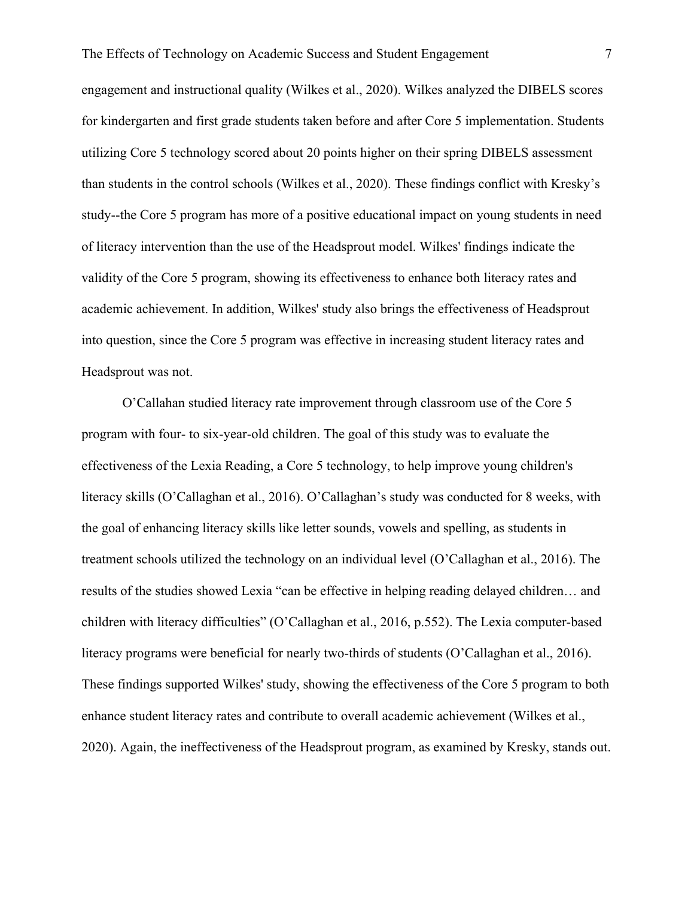engagement and instructional quality (Wilkes et al., 2020). Wilkes analyzed the DIBELS scores for kindergarten and first grade students taken before and after Core 5 implementation. Students utilizing Core 5 technology scored about 20 points higher on their spring DIBELS assessment than students in the control schools (Wilkes et al., 2020). These findings conflict with Kresky's study--the Core 5 program has more of a positive educational impact on young students in need of literacy intervention than the use of the Headsprout model. Wilkes' findings indicate the validity of the Core 5 program, showing its effectiveness to enhance both literacy rates and academic achievement. In addition, Wilkes' study also brings the effectiveness of Headsprout into question, since the Core 5 program was effective in increasing student literacy rates and Headsprout was not.

O'Callahan studied literacy rate improvement through classroom use of the Core 5 program with four- to six-year-old children. The goal of this study was to evaluate the effectiveness of the Lexia Reading, a Core 5 technology, to help improve young children's literacy skills (O'Callaghan et al., 2016). O'Callaghan's study was conducted for 8 weeks, with the goal of enhancing literacy skills like letter sounds, vowels and spelling, as students in treatment schools utilized the technology on an individual level (O'Callaghan et al., 2016). The results of the studies showed Lexia "can be effective in helping reading delayed children… and children with literacy difficulties" (O'Callaghan et al., 2016, p.552). The Lexia computer-based literacy programs were beneficial for nearly two-thirds of students (O'Callaghan et al., 2016). These findings supported Wilkes' study, showing the effectiveness of the Core 5 program to both enhance student literacy rates and contribute to overall academic achievement (Wilkes et al., 2020). Again, the ineffectiveness of the Headsprout program, as examined by Kresky, stands out.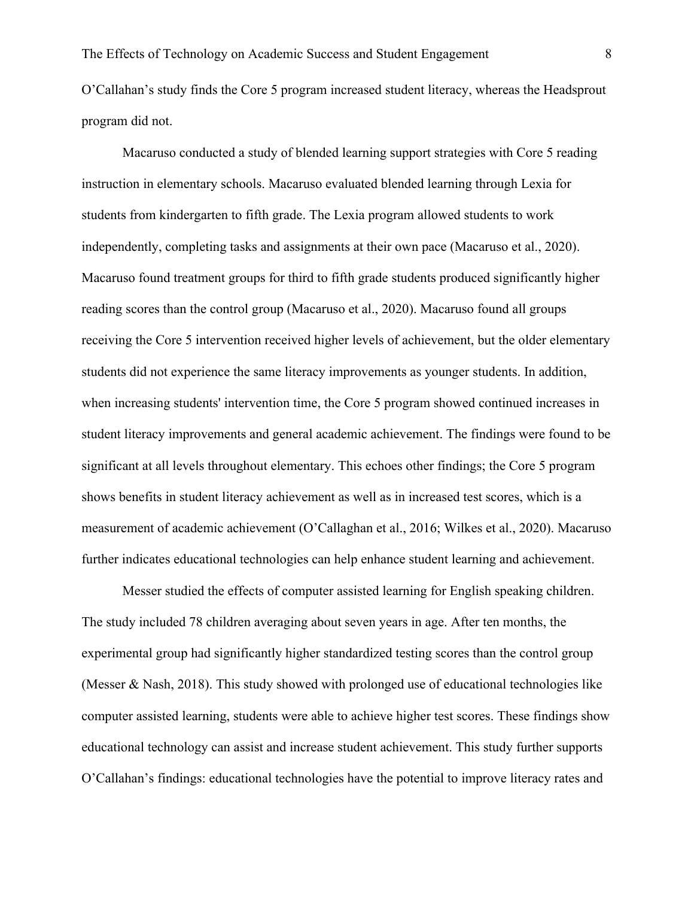O'Callahan's study finds the Core 5 program increased student literacy, whereas the Headsprout program did not.

Macaruso conducted a study of blended learning support strategies with Core 5 reading instruction in elementary schools. Macaruso evaluated blended learning through Lexia for students from kindergarten to fifth grade. The Lexia program allowed students to work independently, completing tasks and assignments at their own pace (Macaruso et al., 2020). Macaruso found treatment groups for third to fifth grade students produced significantly higher reading scores than the control group (Macaruso et al., 2020). Macaruso found all groups receiving the Core 5 intervention received higher levels of achievement, but the older elementary students did not experience the same literacy improvements as younger students. In addition, when increasing students' intervention time, the Core 5 program showed continued increases in student literacy improvements and general academic achievement. The findings were found to be significant at all levels throughout elementary. This echoes other findings; the Core 5 program shows benefits in student literacy achievement as well as in increased test scores, which is a measurement of academic achievement (O'Callaghan et al., 2016; Wilkes et al., 2020). Macaruso further indicates educational technologies can help enhance student learning and achievement.

Messer studied the effects of computer assisted learning for English speaking children. The study included 78 children averaging about seven years in age. After ten months, the experimental group had significantly higher standardized testing scores than the control group (Messer & Nash, 2018). This study showed with prolonged use of educational technologies like computer assisted learning, students were able to achieve higher test scores. These findings show educational technology can assist and increase student achievement. This study further supports O'Callahan's findings: educational technologies have the potential to improve literacy rates and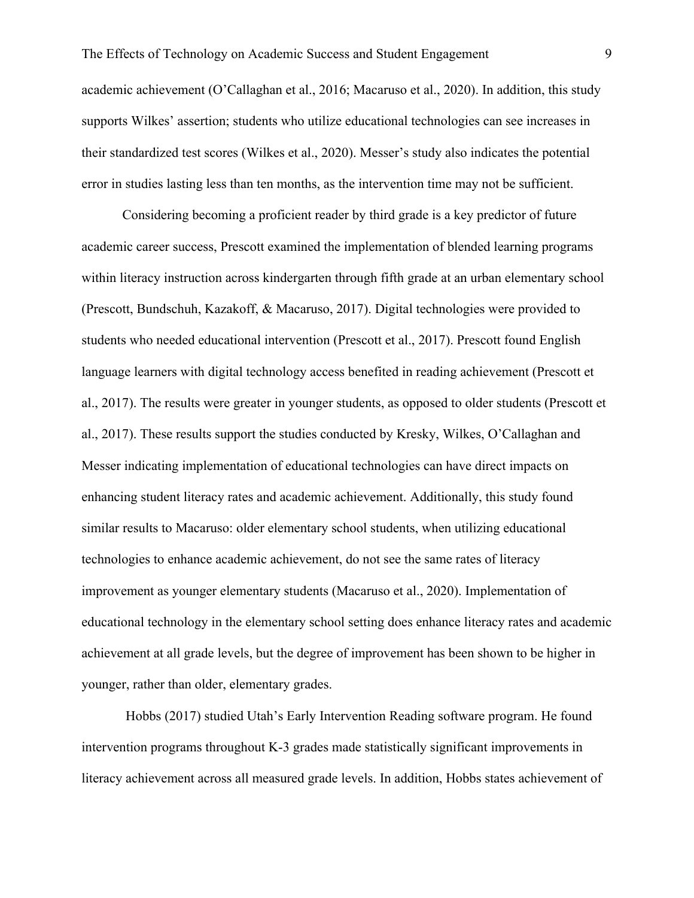academic achievement (O'Callaghan et al., 2016; Macaruso et al., 2020). In addition, this study supports Wilkes' assertion; students who utilize educational technologies can see increases in their standardized test scores (Wilkes et al., 2020). Messer's study also indicates the potential error in studies lasting less than ten months, as the intervention time may not be sufficient.

Considering becoming a proficient reader by third grade is a key predictor of future academic career success, Prescott examined the implementation of blended learning programs within literacy instruction across kindergarten through fifth grade at an urban elementary school (Prescott, Bundschuh, Kazakoff, & Macaruso, 2017). Digital technologies were provided to students who needed educational intervention (Prescott et al., 2017). Prescott found English language learners with digital technology access benefited in reading achievement (Prescott et al., 2017). The results were greater in younger students, as opposed to older students (Prescott et al., 2017). These results support the studies conducted by Kresky, Wilkes, O'Callaghan and Messer indicating implementation of educational technologies can have direct impacts on enhancing student literacy rates and academic achievement. Additionally, this study found similar results to Macaruso: older elementary school students, when utilizing educational technologies to enhance academic achievement, do not see the same rates of literacy improvement as younger elementary students (Macaruso et al., 2020). Implementation of educational technology in the elementary school setting does enhance literacy rates and academic achievement at all grade levels, but the degree of improvement has been shown to be higher in younger, rather than older, elementary grades.

Hobbs (2017) studied Utah's Early Intervention Reading software program. He found intervention programs throughout K-3 grades made statistically significant improvements in literacy achievement across all measured grade levels. In addition, Hobbs states achievement of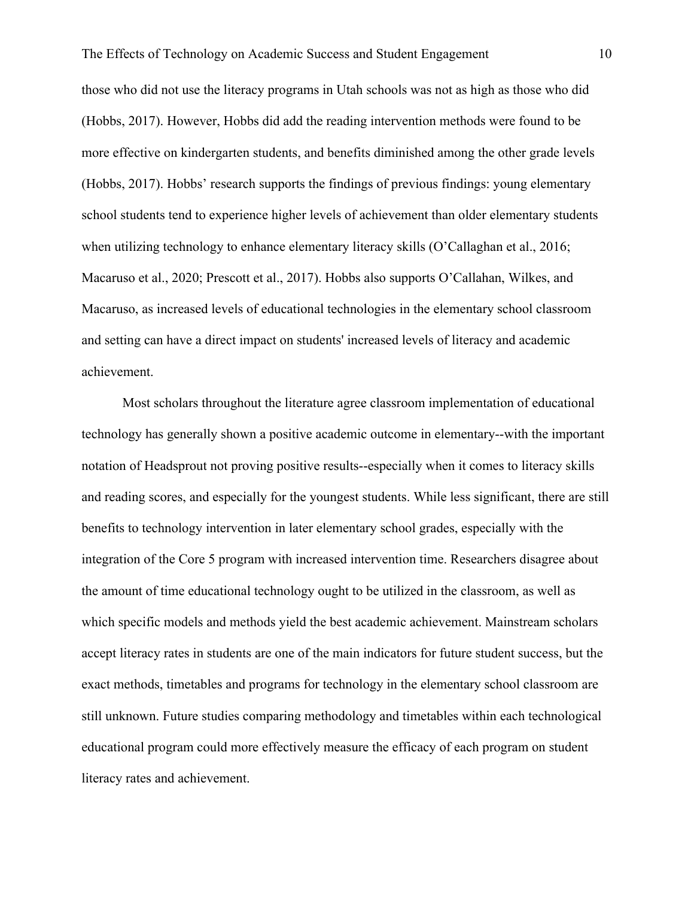those who did not use the literacy programs in Utah schools was not as high as those who did (Hobbs, 2017). However, Hobbs did add the reading intervention methods were found to be more effective on kindergarten students, and benefits diminished among the other grade levels (Hobbs, 2017). Hobbs' research supports the findings of previous findings: young elementary school students tend to experience higher levels of achievement than older elementary students when utilizing technology to enhance elementary literacy skills (O'Callaghan et al., 2016; Macaruso et al., 2020; Prescott et al., 2017). Hobbs also supports O'Callahan, Wilkes, and Macaruso, as increased levels of educational technologies in the elementary school classroom and setting can have a direct impact on students' increased levels of literacy and academic achievement.

Most scholars throughout the literature agree classroom implementation of educational technology has generally shown a positive academic outcome in elementary--with the important notation of Headsprout not proving positive results--especially when it comes to literacy skills and reading scores, and especially for the youngest students. While less significant, there are still benefits to technology intervention in later elementary school grades, especially with the integration of the Core 5 program with increased intervention time. Researchers disagree about the amount of time educational technology ought to be utilized in the classroom, as well as which specific models and methods yield the best academic achievement. Mainstream scholars accept literacy rates in students are one of the main indicators for future student success, but the exact methods, timetables and programs for technology in the elementary school classroom are still unknown. Future studies comparing methodology and timetables within each technological educational program could more effectively measure the efficacy of each program on student literacy rates and achievement.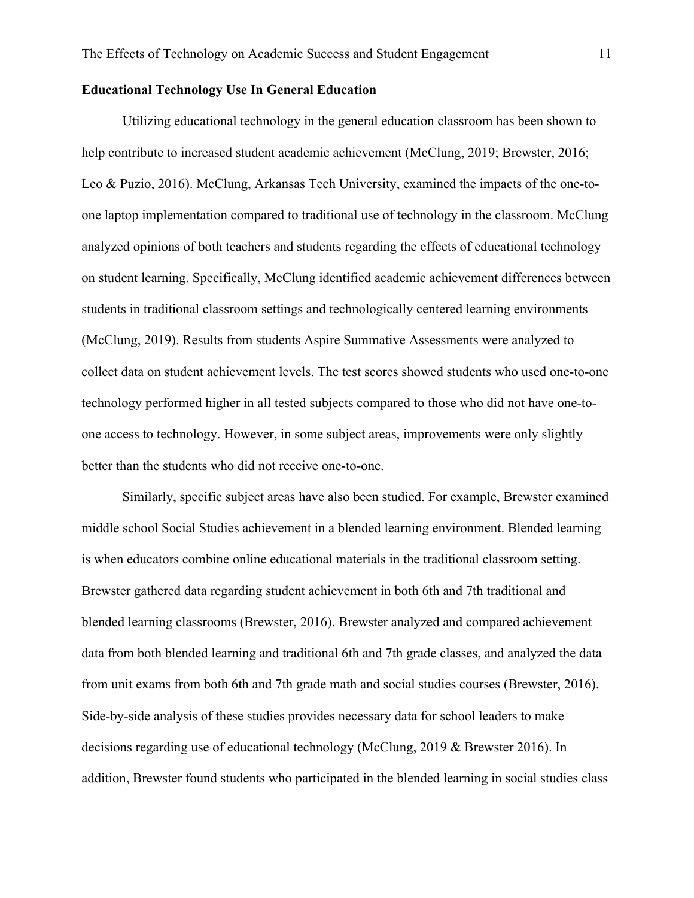#### **Educational Technology Use In General Education**

Utilizing educational technology in the general education classroom has been shown to help contribute to increased student academic achievement (McClung, 2019; Brewster, 2016; Leo & Puzio, 2016). McClung, Arkansas Tech University, examined the impacts of the one-toone laptop implementation compared to traditional use of technology in the classroom. McClung analyzed opinions of both teachers and students regarding the effects of educational technology on student learning. Specifically, McClung identified academic achievement differences between students in traditional classroom settings and technologically centered learning environments (McClung, 2019). Results from students Aspire Summative Assessments were analyzed to collect data on student achievement levels. The test scores showed students who used one-to-one technology performed higher in all tested subjects compared to those who did not have one-toone access to technology. However, in some subject areas, improvements were only slightly better than the students who did not receive one-to-one.

Similarly, specific subject areas have also been studied. For example, Brewster examined middle school Social Studies achievement in a blended learning environment. Blended learning is when educators combine online educational materials in the traditional classroom setting. Brewster gathered data regarding student achievement in both 6th and 7th traditional and blended learning classrooms (Brewster, 2016). Brewster analyzed and compared achievement data from both blended learning and traditional 6th and 7th grade classes, and analyzed the data from unit exams from both 6th and 7th grade math and social studies courses (Brewster, 2016). Side-by-side analysis of these studies provides necessary data for school leaders to make decisions regarding use of educational technology (McClung, 2019 & Brewster 2016). In addition, Brewster found students who participated in the blended learning in social studies class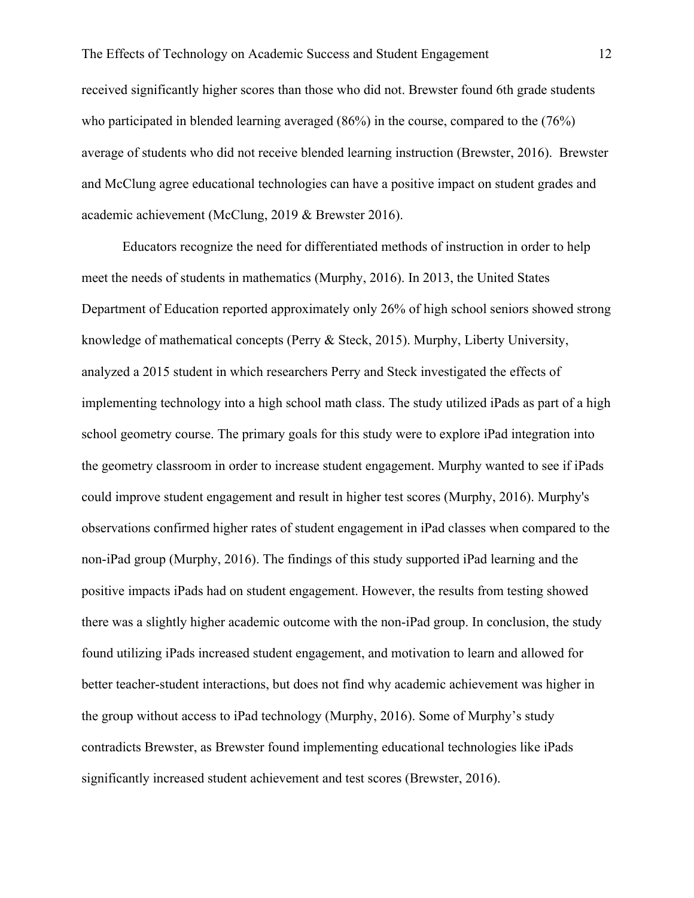received significantly higher scores than those who did not. Brewster found 6th grade students who participated in blended learning averaged (86%) in the course, compared to the (76%) average of students who did not receive blended learning instruction (Brewster, 2016). Brewster and McClung agree educational technologies can have a positive impact on student grades and academic achievement (McClung, 2019 & Brewster 2016).

Educators recognize the need for differentiated methods of instruction in order to help meet the needs of students in mathematics (Murphy, 2016). In 2013, the United States Department of Education reported approximately only 26% of high school seniors showed strong knowledge of mathematical concepts (Perry & Steck, 2015). Murphy, Liberty University, analyzed a 2015 student in which researchers Perry and Steck investigated the effects of implementing technology into a high school math class. The study utilized iPads as part of a high school geometry course. The primary goals for this study were to explore iPad integration into the geometry classroom in order to increase student engagement. Murphy wanted to see if iPads could improve student engagement and result in higher test scores (Murphy, 2016). Murphy's observations confirmed higher rates of student engagement in iPad classes when compared to the non-iPad group (Murphy, 2016). The findings of this study supported iPad learning and the positive impacts iPads had on student engagement. However, the results from testing showed there was a slightly higher academic outcome with the non-iPad group. In conclusion, the study found utilizing iPads increased student engagement, and motivation to learn and allowed for better teacher-student interactions, but does not find why academic achievement was higher in the group without access to iPad technology (Murphy, 2016). Some of Murphy's study contradicts Brewster, as Brewster found implementing educational technologies like iPads significantly increased student achievement and test scores (Brewster, 2016).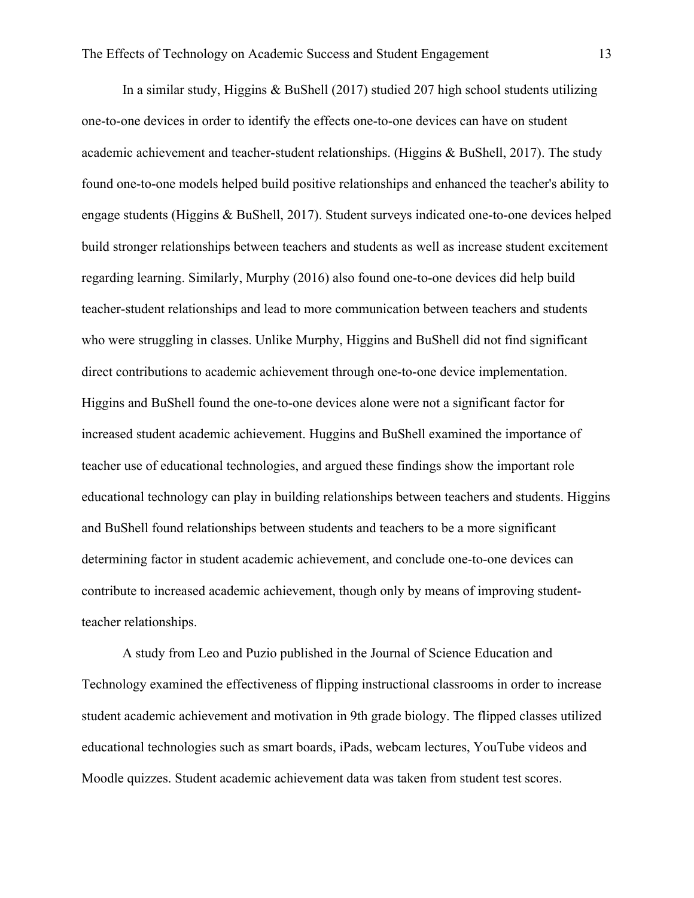In a similar study, Higgins & BuShell (2017) studied 207 high school students utilizing one-to-one devices in order to identify the effects one-to-one devices can have on student academic achievement and teacher-student relationships. (Higgins  $\&$  BuShell, 2017). The study found one-to-one models helped build positive relationships and enhanced the teacher's ability to engage students (Higgins & BuShell, 2017). Student surveys indicated one-to-one devices helped build stronger relationships between teachers and students as well as increase student excitement regarding learning. Similarly, Murphy (2016) also found one-to-one devices did help build teacher-student relationships and lead to more communication between teachers and students who were struggling in classes. Unlike Murphy, Higgins and BuShell did not find significant direct contributions to academic achievement through one-to-one device implementation. Higgins and BuShell found the one-to-one devices alone were not a significant factor for increased student academic achievement. Huggins and BuShell examined the importance of teacher use of educational technologies, and argued these findings show the important role educational technology can play in building relationships between teachers and students. Higgins and BuShell found relationships between students and teachers to be a more significant determining factor in student academic achievement, and conclude one-to-one devices can contribute to increased academic achievement, though only by means of improving studentteacher relationships.

A study from Leo and Puzio published in the Journal of Science Education and Technology examined the effectiveness of flipping instructional classrooms in order to increase student academic achievement and motivation in 9th grade biology. The flipped classes utilized educational technologies such as smart boards, iPads, webcam lectures, YouTube videos and Moodle quizzes. Student academic achievement data was taken from student test scores.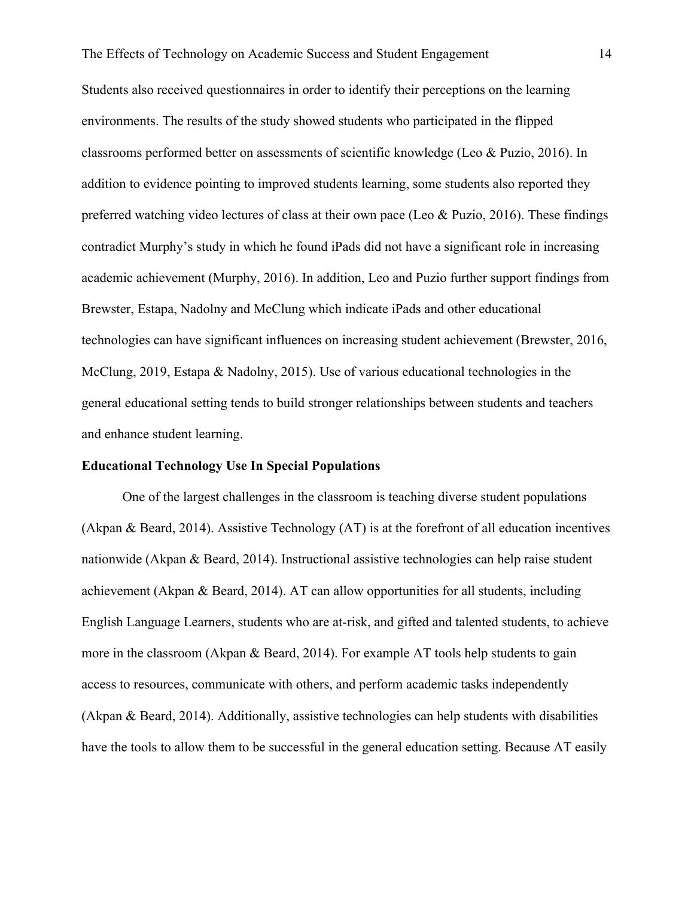Students also received questionnaires in order to identify their perceptions on the learning environments. The results of the study showed students who participated in the flipped classrooms performed better on assessments of scientific knowledge (Leo & Puzio, 2016). In addition to evidence pointing to improved students learning, some students also reported they preferred watching video lectures of class at their own pace (Leo & Puzio, 2016). These findings contradict Murphy's study in which he found iPads did not have a significant role in increasing academic achievement (Murphy, 2016). In addition, Leo and Puzio further support findings from Brewster, Estapa, Nadolny and McClung which indicate iPads and other educational technologies can have significant influences on increasing student achievement (Brewster, 2016, McClung, 2019, Estapa & Nadolny, 2015). Use of various educational technologies in the general educational setting tends to build stronger relationships between students and teachers and enhance student learning.

#### **Educational Technology Use In Special Populations**

One of the largest challenges in the classroom is teaching diverse student populations (Akpan & Beard, 2014). Assistive Technology (AT) is at the forefront of all education incentives nationwide (Akpan & Beard, 2014). Instructional assistive technologies can help raise student achievement (Akpan & Beard, 2014). AT can allow opportunities for all students, including English Language Learners, students who are at-risk, and gifted and talented students, to achieve more in the classroom (Akpan & Beard, 2014). For example AT tools help students to gain access to resources, communicate with others, and perform academic tasks independently (Akpan & Beard, 2014). Additionally, assistive technologies can help students with disabilities have the tools to allow them to be successful in the general education setting. Because AT easily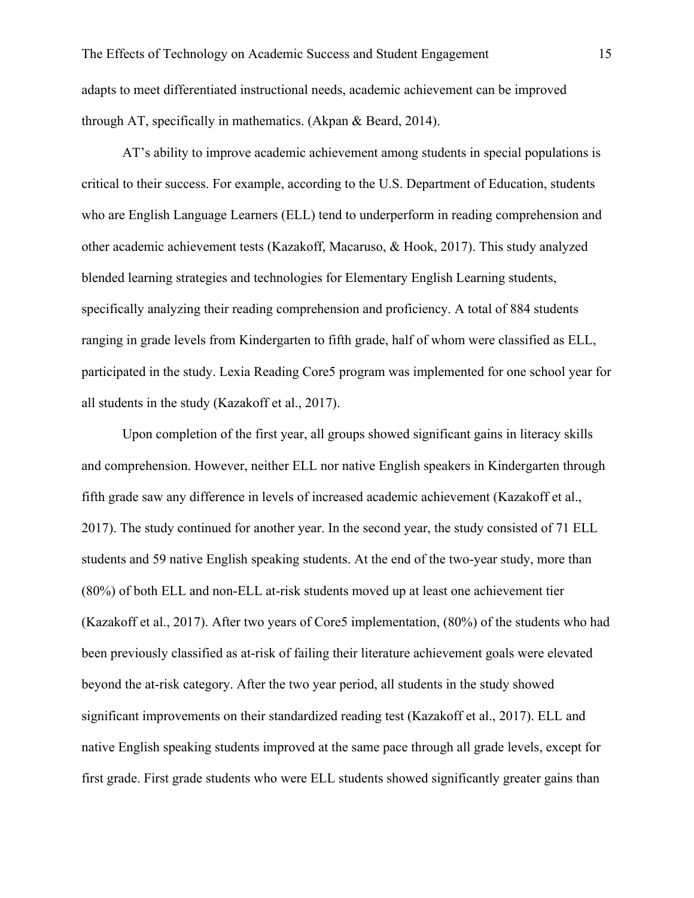AT's ability to improve academic achievement among students in special populations is critical to their success. For example, according to the U.S. Department of Education, students who are English Language Learners (ELL) tend to underperform in reading comprehension and other academic achievement tests (Kazakoff, Macaruso, & Hook, 2017). This study analyzed blended learning strategies and technologies for Elementary English Learning students, specifically analyzing their reading comprehension and proficiency. A total of 884 students ranging in grade levels from Kindergarten to fifth grade, half of whom were classified as ELL, participated in the study. Lexia Reading Core5 program was implemented for one school year for all students in the study (Kazakoff et al., 2017).

Upon completion of the first year, all groups showed significant gains in literacy skills and comprehension. However, neither ELL nor native English speakers in Kindergarten through fifth grade saw any difference in levels of increased academic achievement (Kazakoff et al., 2017). The study continued for another year. In the second year, the study consisted of 71 ELL students and 59 native English speaking students. At the end of the two-year study, more than (80%) of both ELL and non-ELL at-risk students moved up at least one achievement tier (Kazakoff et al., 2017). After two years of Core5 implementation, (80%) of the students who had been previously classified as at-risk of failing their literature achievement goals were elevated beyond the at-risk category. After the two year period, all students in the study showed significant improvements on their standardized reading test (Kazakoff et al., 2017). ELL and native English speaking students improved at the same pace through all grade levels, except for first grade. First grade students who were ELL students showed significantly greater gains than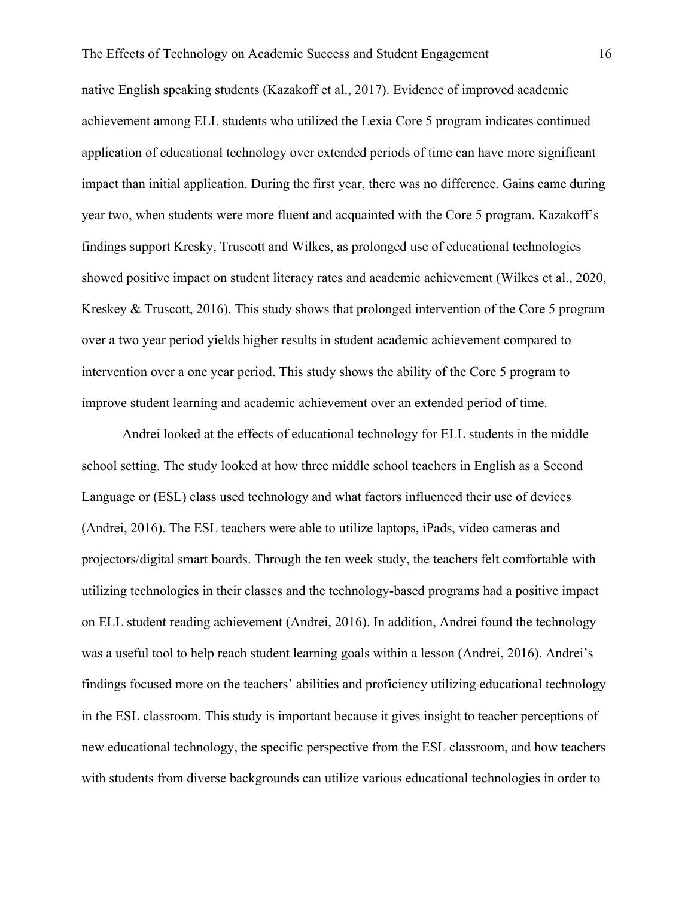native English speaking students (Kazakoff et al., 2017). Evidence of improved academic achievement among ELL students who utilized the Lexia Core 5 program indicates continued application of educational technology over extended periods of time can have more significant impact than initial application. During the first year, there was no difference. Gains came during year two, when students were more fluent and acquainted with the Core 5 program. Kazakoff's findings support Kresky, Truscott and Wilkes, as prolonged use of educational technologies showed positive impact on student literacy rates and academic achievement (Wilkes et al., 2020, Kreskey & Truscott, 2016). This study shows that prolonged intervention of the Core 5 program over a two year period yields higher results in student academic achievement compared to intervention over a one year period. This study shows the ability of the Core 5 program to improve student learning and academic achievement over an extended period of time.

Andrei looked at the effects of educational technology for ELL students in the middle school setting. The study looked at how three middle school teachers in English as a Second Language or (ESL) class used technology and what factors influenced their use of devices (Andrei, 2016). The ESL teachers were able to utilize laptops, iPads, video cameras and projectors/digital smart boards. Through the ten week study, the teachers felt comfortable with utilizing technologies in their classes and the technology-based programs had a positive impact on ELL student reading achievement (Andrei, 2016). In addition, Andrei found the technology was a useful tool to help reach student learning goals within a lesson (Andrei, 2016). Andrei's findings focused more on the teachers' abilities and proficiency utilizing educational technology in the ESL classroom. This study is important because it gives insight to teacher perceptions of new educational technology, the specific perspective from the ESL classroom, and how teachers with students from diverse backgrounds can utilize various educational technologies in order to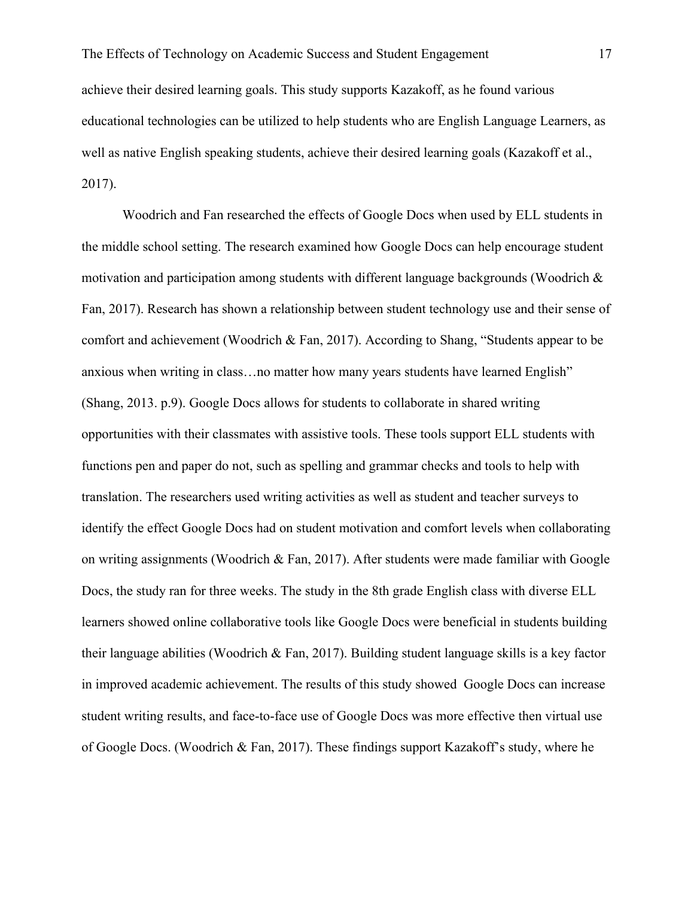achieve their desired learning goals. This study supports Kazakoff, as he found various educational technologies can be utilized to help students who are English Language Learners, as well as native English speaking students, achieve their desired learning goals (Kazakoff et al., 2017).

Woodrich and Fan researched the effects of Google Docs when used by ELL students in the middle school setting. The research examined how Google Docs can help encourage student motivation and participation among students with different language backgrounds (Woodrich & Fan, 2017). Research has shown a relationship between student technology use and their sense of comfort and achievement (Woodrich & Fan, 2017). According to Shang, "Students appear to be anxious when writing in class…no matter how many years students have learned English" (Shang, 2013. p.9). Google Docs allows for students to collaborate in shared writing opportunities with their classmates with assistive tools. These tools support ELL students with functions pen and paper do not, such as spelling and grammar checks and tools to help with translation. The researchers used writing activities as well as student and teacher surveys to identify the effect Google Docs had on student motivation and comfort levels when collaborating on writing assignments (Woodrich & Fan, 2017). After students were made familiar with Google Docs, the study ran for three weeks. The study in the 8th grade English class with diverse ELL learners showed online collaborative tools like Google Docs were beneficial in students building their language abilities (Woodrich & Fan, 2017). Building student language skills is a key factor in improved academic achievement. The results of this study showed Google Docs can increase student writing results, and face-to-face use of Google Docs was more effective then virtual use of Google Docs. (Woodrich & Fan, 2017). These findings support Kazakoff's study, where he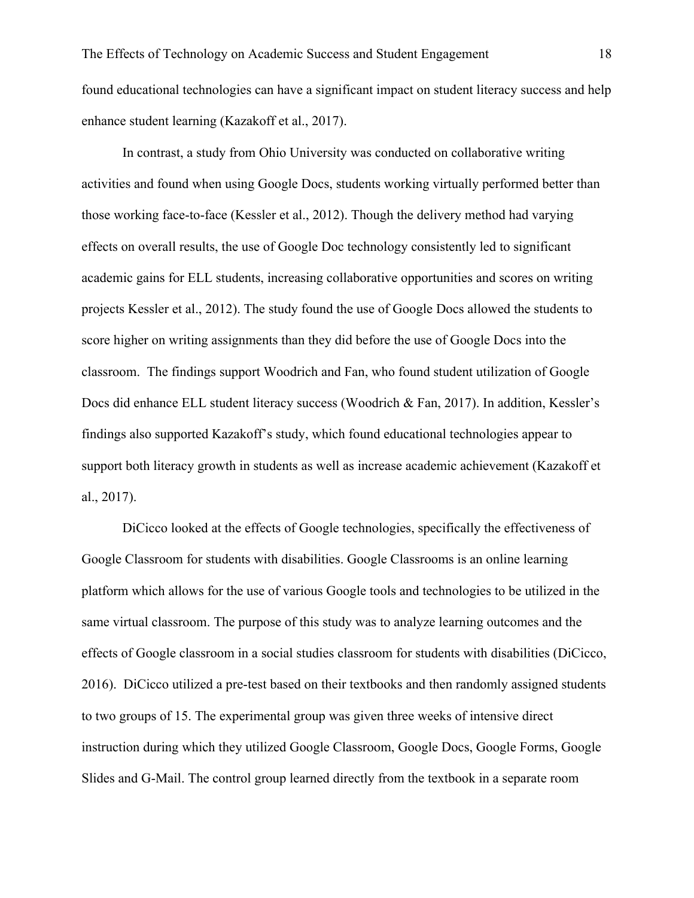found educational technologies can have a significant impact on student literacy success and help enhance student learning (Kazakoff et al., 2017).

In contrast, a study from Ohio University was conducted on collaborative writing activities and found when using Google Docs, students working virtually performed better than those working face-to-face (Kessler et al., 2012). Though the delivery method had varying effects on overall results, the use of Google Doc technology consistently led to significant academic gains for ELL students, increasing collaborative opportunities and scores on writing projects Kessler et al., 2012). The study found the use of Google Docs allowed the students to score higher on writing assignments than they did before the use of Google Docs into the classroom. The findings support Woodrich and Fan, who found student utilization of Google Docs did enhance ELL student literacy success (Woodrich & Fan, 2017). In addition, Kessler's findings also supported Kazakoff's study, which found educational technologies appear to support both literacy growth in students as well as increase academic achievement (Kazakoff et al., 2017).

DiCicco looked at the effects of Google technologies, specifically the effectiveness of Google Classroom for students with disabilities. Google Classrooms is an online learning platform which allows for the use of various Google tools and technologies to be utilized in the same virtual classroom. The purpose of this study was to analyze learning outcomes and the effects of Google classroom in a social studies classroom for students with disabilities (DiCicco, 2016). DiCicco utilized a pre-test based on their textbooks and then randomly assigned students to two groups of 15. The experimental group was given three weeks of intensive direct instruction during which they utilized Google Classroom, Google Docs, Google Forms, Google Slides and G-Mail. The control group learned directly from the textbook in a separate room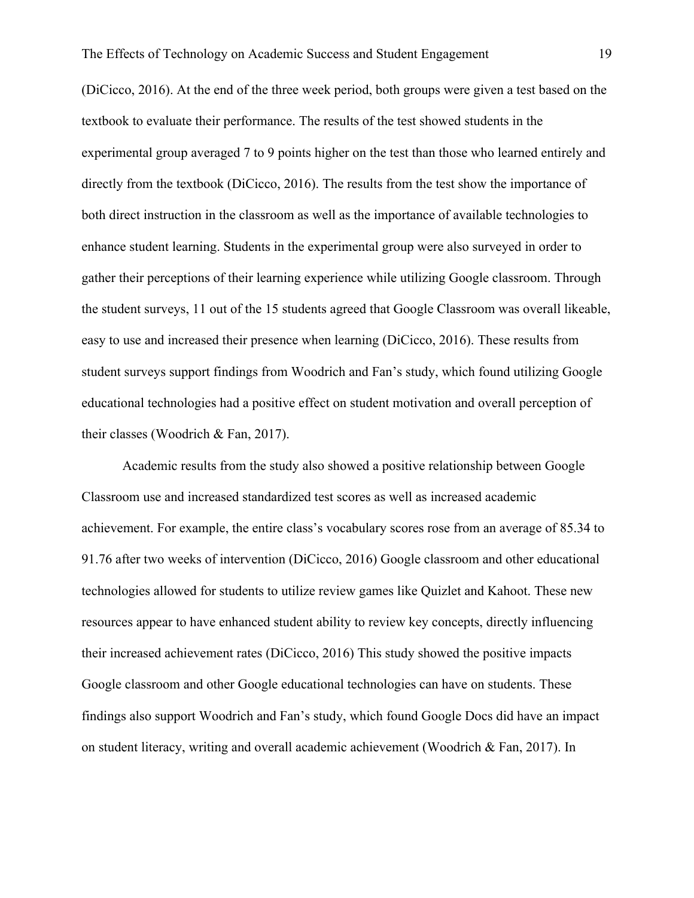(DiCicco, 2016). At the end of the three week period, both groups were given a test based on the textbook to evaluate their performance. The results of the test showed students in the experimental group averaged 7 to 9 points higher on the test than those who learned entirely and directly from the textbook (DiCicco, 2016). The results from the test show the importance of both direct instruction in the classroom as well as the importance of available technologies to enhance student learning. Students in the experimental group were also surveyed in order to gather their perceptions of their learning experience while utilizing Google classroom. Through the student surveys, 11 out of the 15 students agreed that Google Classroom was overall likeable, easy to use and increased their presence when learning (DiCicco, 2016). These results from student surveys support findings from Woodrich and Fan's study, which found utilizing Google educational technologies had a positive effect on student motivation and overall perception of their classes (Woodrich & Fan, 2017).

Academic results from the study also showed a positive relationship between Google Classroom use and increased standardized test scores as well as increased academic achievement. For example, the entire class's vocabulary scores rose from an average of 85.34 to 91.76 after two weeks of intervention (DiCicco, 2016) Google classroom and other educational technologies allowed for students to utilize review games like Quizlet and Kahoot. These new resources appear to have enhanced student ability to review key concepts, directly influencing their increased achievement rates (DiCicco, 2016) This study showed the positive impacts Google classroom and other Google educational technologies can have on students. These findings also support Woodrich and Fan's study, which found Google Docs did have an impact on student literacy, writing and overall academic achievement (Woodrich & Fan, 2017). In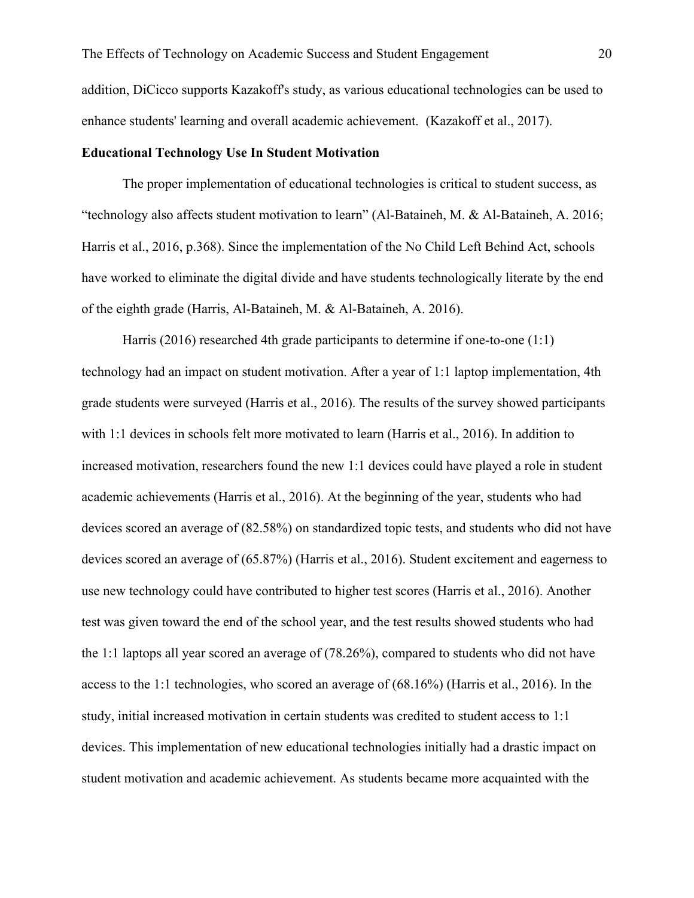addition, DiCicco supports Kazakoff's study, as various educational technologies can be used to enhance students' learning and overall academic achievement. (Kazakoff et al., 2017).

#### **Educational Technology Use In Student Motivation**

The proper implementation of educational technologies is critical to student success, as "technology also affects student motivation to learn" (Al-Bataineh, M. & Al-Bataineh, A. 2016; Harris et al., 2016, p.368). Since the implementation of the No Child Left Behind Act, schools have worked to eliminate the digital divide and have students technologically literate by the end of the eighth grade (Harris, Al-Bataineh, M. & Al-Bataineh, A. 2016).

Harris (2016) researched 4th grade participants to determine if one-to-one (1:1) technology had an impact on student motivation. After a year of 1:1 laptop implementation, 4th grade students were surveyed (Harris et al., 2016). The results of the survey showed participants with 1:1 devices in schools felt more motivated to learn (Harris et al., 2016). In addition to increased motivation, researchers found the new 1:1 devices could have played a role in student academic achievements (Harris et al., 2016). At the beginning of the year, students who had devices scored an average of (82.58%) on standardized topic tests, and students who did not have devices scored an average of (65.87%) (Harris et al., 2016). Student excitement and eagerness to use new technology could have contributed to higher test scores (Harris et al., 2016). Another test was given toward the end of the school year, and the test results showed students who had the 1:1 laptops all year scored an average of (78.26%), compared to students who did not have access to the 1:1 technologies, who scored an average of (68.16%) (Harris et al., 2016). In the study, initial increased motivation in certain students was credited to student access to 1:1 devices. This implementation of new educational technologies initially had a drastic impact on student motivation and academic achievement. As students became more acquainted with the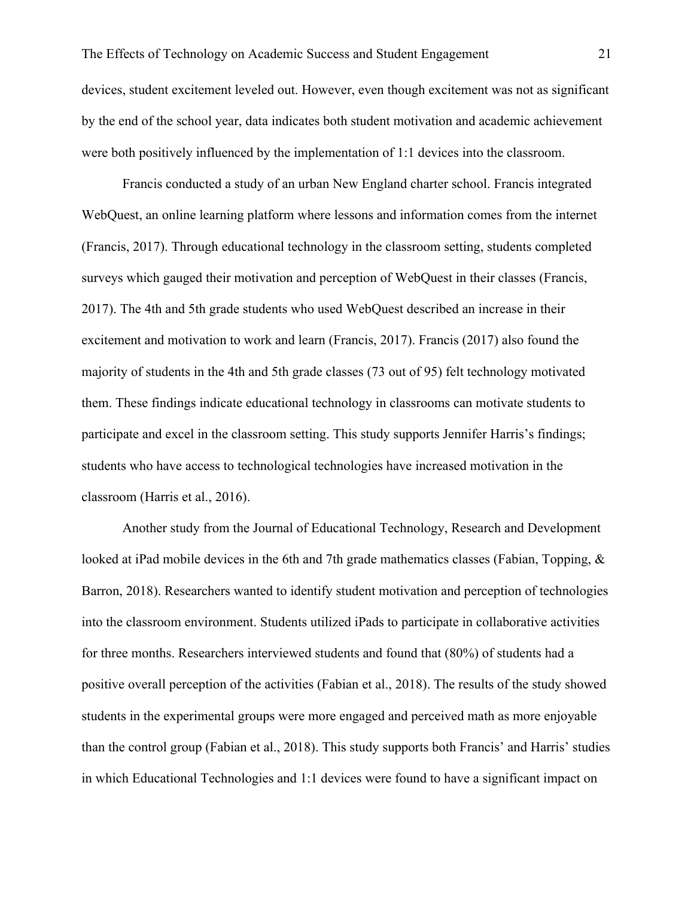devices, student excitement leveled out. However, even though excitement was not as significant by the end of the school year, data indicates both student motivation and academic achievement were both positively influenced by the implementation of 1:1 devices into the classroom.

Francis conducted a study of an urban New England charter school. Francis integrated WebQuest, an online learning platform where lessons and information comes from the internet (Francis, 2017). Through educational technology in the classroom setting, students completed surveys which gauged their motivation and perception of WebQuest in their classes (Francis, 2017). The 4th and 5th grade students who used WebQuest described an increase in their excitement and motivation to work and learn (Francis, 2017). Francis (2017) also found the majority of students in the 4th and 5th grade classes (73 out of 95) felt technology motivated them. These findings indicate educational technology in classrooms can motivate students to participate and excel in the classroom setting. This study supports Jennifer Harris's findings; students who have access to technological technologies have increased motivation in the classroom (Harris et al., 2016).

Another study from the Journal of Educational Technology, Research and Development looked at iPad mobile devices in the 6th and 7th grade mathematics classes (Fabian, Topping, & Barron, 2018). Researchers wanted to identify student motivation and perception of technologies into the classroom environment. Students utilized iPads to participate in collaborative activities for three months. Researchers interviewed students and found that (80%) of students had a positive overall perception of the activities (Fabian et al., 2018). The results of the study showed students in the experimental groups were more engaged and perceived math as more enjoyable than the control group (Fabian et al., 2018). This study supports both Francis' and Harris' studies in which Educational Technologies and 1:1 devices were found to have a significant impact on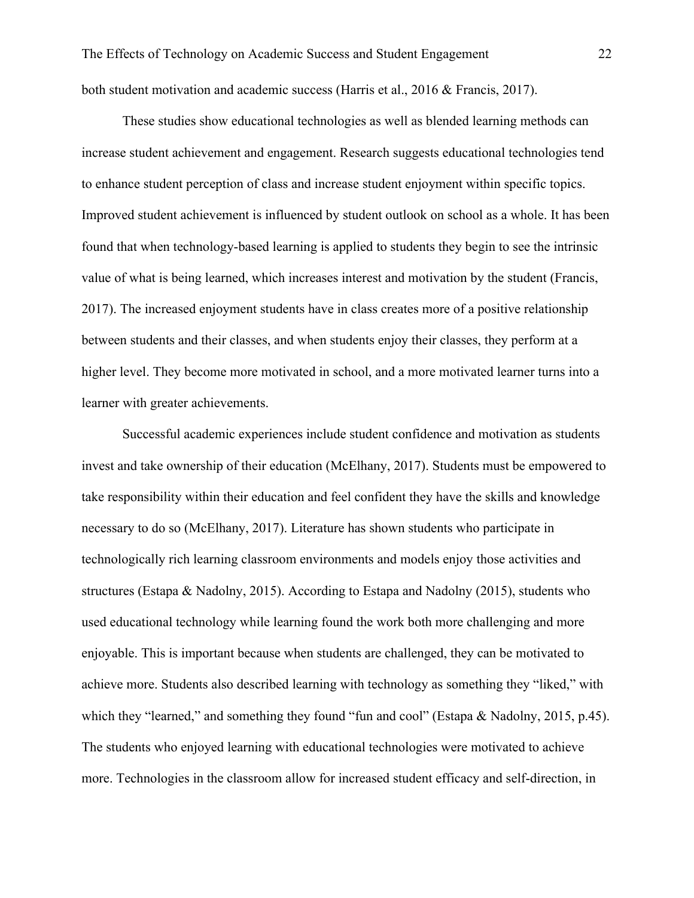both student motivation and academic success (Harris et al., 2016 & Francis, 2017).

These studies show educational technologies as well as blended learning methods can increase student achievement and engagement. Research suggests educational technologies tend to enhance student perception of class and increase student enjoyment within specific topics. Improved student achievement is influenced by student outlook on school as a whole. It has been found that when technology-based learning is applied to students they begin to see the intrinsic value of what is being learned, which increases interest and motivation by the student (Francis, 2017). The increased enjoyment students have in class creates more of a positive relationship between students and their classes, and when students enjoy their classes, they perform at a higher level. They become more motivated in school, and a more motivated learner turns into a learner with greater achievements.

Successful academic experiences include student confidence and motivation as students invest and take ownership of their education (McElhany, 2017). Students must be empowered to take responsibility within their education and feel confident they have the skills and knowledge necessary to do so (McElhany, 2017). Literature has shown students who participate in technologically rich learning classroom environments and models enjoy those activities and structures (Estapa & Nadolny, 2015). According to Estapa and Nadolny (2015), students who used educational technology while learning found the work both more challenging and more enjoyable. This is important because when students are challenged, they can be motivated to achieve more. Students also described learning with technology as something they "liked," with which they "learned," and something they found "fun and cool" (Estapa & Nadolny, 2015, p.45). The students who enjoyed learning with educational technologies were motivated to achieve more. Technologies in the classroom allow for increased student efficacy and self-direction, in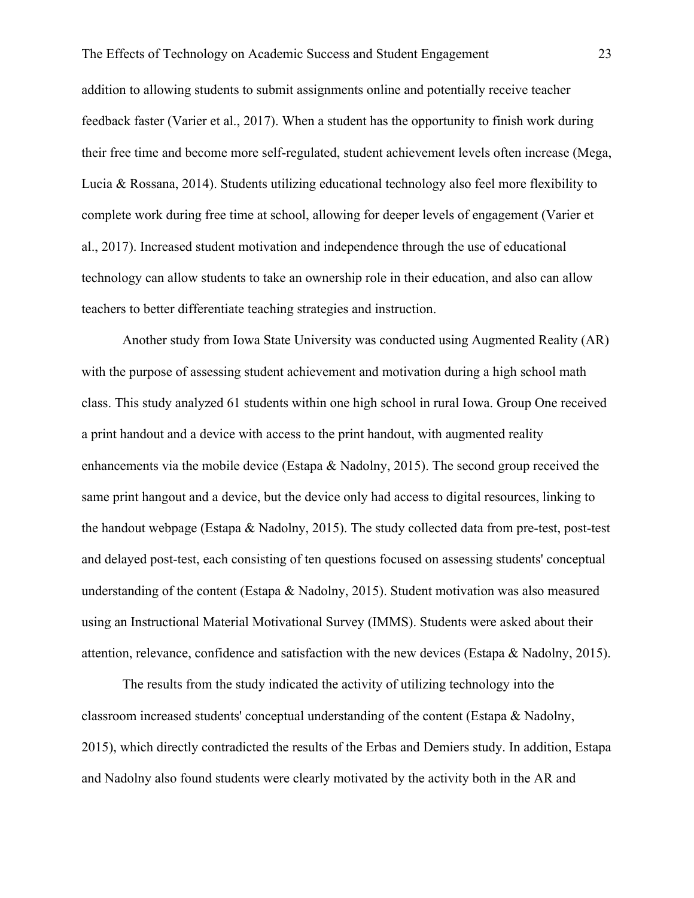addition to allowing students to submit assignments online and potentially receive teacher feedback faster (Varier et al., 2017). When a student has the opportunity to finish work during their free time and become more self-regulated, student achievement levels often increase (Mega, Lucia & Rossana, 2014). Students utilizing educational technology also feel more flexibility to complete work during free time at school, allowing for deeper levels of engagement (Varier et al., 2017). Increased student motivation and independence through the use of educational technology can allow students to take an ownership role in their education, and also can allow teachers to better differentiate teaching strategies and instruction.

Another study from Iowa State University was conducted using Augmented Reality (AR) with the purpose of assessing student achievement and motivation during a high school math class. This study analyzed 61 students within one high school in rural Iowa. Group One received a print handout and a device with access to the print handout, with augmented reality enhancements via the mobile device (Estapa & Nadolny, 2015). The second group received the same print hangout and a device, but the device only had access to digital resources, linking to the handout webpage (Estapa & Nadolny, 2015). The study collected data from pre-test, post-test and delayed post-test, each consisting of ten questions focused on assessing students' conceptual understanding of the content (Estapa & Nadolny, 2015). Student motivation was also measured using an Instructional Material Motivational Survey (IMMS). Students were asked about their attention, relevance, confidence and satisfaction with the new devices (Estapa & Nadolny, 2015).

The results from the study indicated the activity of utilizing technology into the classroom increased students' conceptual understanding of the content (Estapa & Nadolny, 2015), which directly contradicted the results of the Erbas and Demiers study. In addition, Estapa and Nadolny also found students were clearly motivated by the activity both in the AR and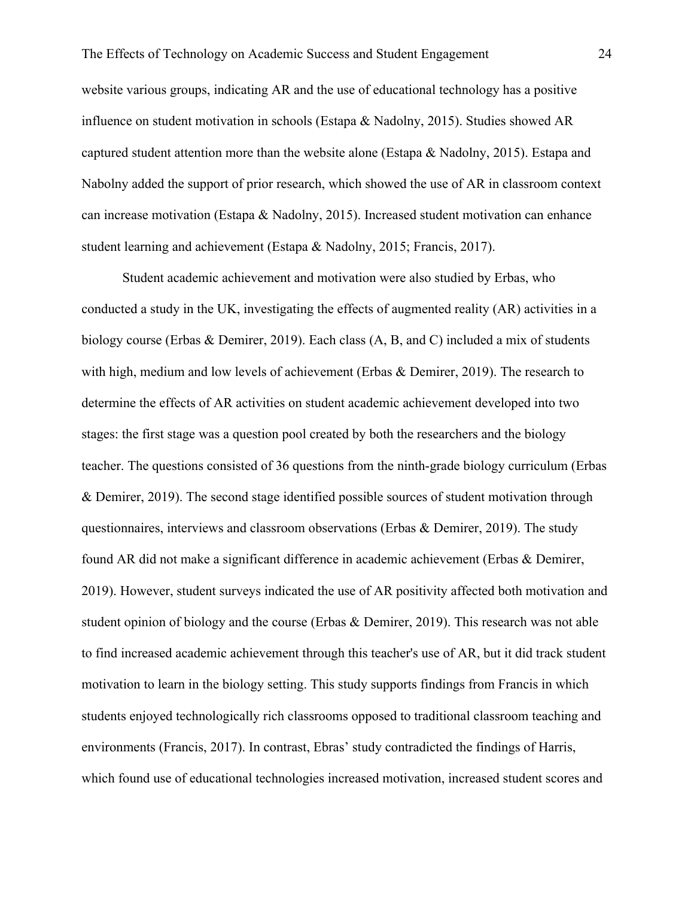website various groups, indicating AR and the use of educational technology has a positive influence on student motivation in schools (Estapa & Nadolny, 2015). Studies showed AR captured student attention more than the website alone (Estapa & Nadolny, 2015). Estapa and Nabolny added the support of prior research, which showed the use of AR in classroom context can increase motivation (Estapa & Nadolny, 2015). Increased student motivation can enhance student learning and achievement (Estapa & Nadolny, 2015; Francis, 2017).

Student academic achievement and motivation were also studied by Erbas, who conducted a study in the UK, investigating the effects of augmented reality (AR) activities in a biology course (Erbas & Demirer, 2019). Each class (A, B, and C) included a mix of students with high, medium and low levels of achievement (Erbas & Demirer, 2019). The research to determine the effects of AR activities on student academic achievement developed into two stages: the first stage was a question pool created by both the researchers and the biology teacher. The questions consisted of 36 questions from the ninth-grade biology curriculum (Erbas & Demirer, 2019). The second stage identified possible sources of student motivation through questionnaires, interviews and classroom observations (Erbas & Demirer, 2019). The study found AR did not make a significant difference in academic achievement (Erbas & Demirer, 2019). However, student surveys indicated the use of AR positivity affected both motivation and student opinion of biology and the course (Erbas & Demirer, 2019). This research was not able to find increased academic achievement through this teacher's use of AR, but it did track student motivation to learn in the biology setting. This study supports findings from Francis in which students enjoyed technologically rich classrooms opposed to traditional classroom teaching and environments (Francis, 2017). In contrast, Ebras' study contradicted the findings of Harris, which found use of educational technologies increased motivation, increased student scores and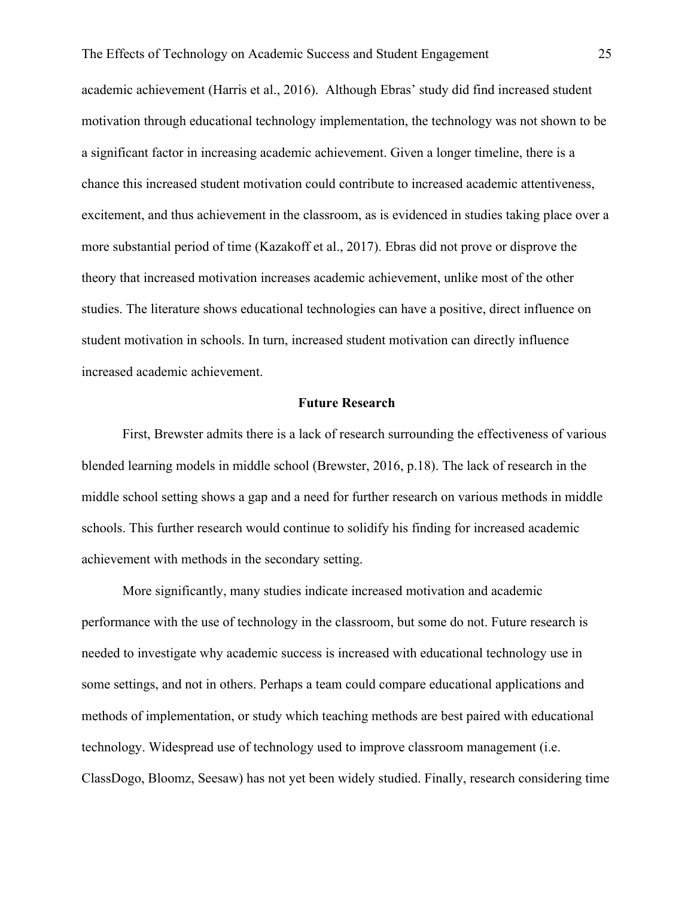academic achievement (Harris et al., 2016). Although Ebras' study did find increased student motivation through educational technology implementation, the technology was not shown to be a significant factor in increasing academic achievement. Given a longer timeline, there is a chance this increased student motivation could contribute to increased academic attentiveness, excitement, and thus achievement in the classroom, as is evidenced in studies taking place over a more substantial period of time (Kazakoff et al., 2017). Ebras did not prove or disprove the theory that increased motivation increases academic achievement, unlike most of the other studies. The literature shows educational technologies can have a positive, direct influence on student motivation in schools. In turn, increased student motivation can directly influence increased academic achievement.

#### **Future Research**

First, Brewster admits there is a lack of research surrounding the effectiveness of various blended learning models in middle school (Brewster, 2016, p.18). The lack of research in the middle school setting shows a gap and a need for further research on various methods in middle schools. This further research would continue to solidify his finding for increased academic achievement with methods in the secondary setting.

More significantly, many studies indicate increased motivation and academic performance with the use of technology in the classroom, but some do not. Future research is needed to investigate why academic success is increased with educational technology use in some settings, and not in others. Perhaps a team could compare educational applications and methods of implementation, or study which teaching methods are best paired with educational technology. Widespread use of technology used to improve classroom management (i.e. ClassDogo, Bloomz, Seesaw) has not yet been widely studied. Finally, research considering time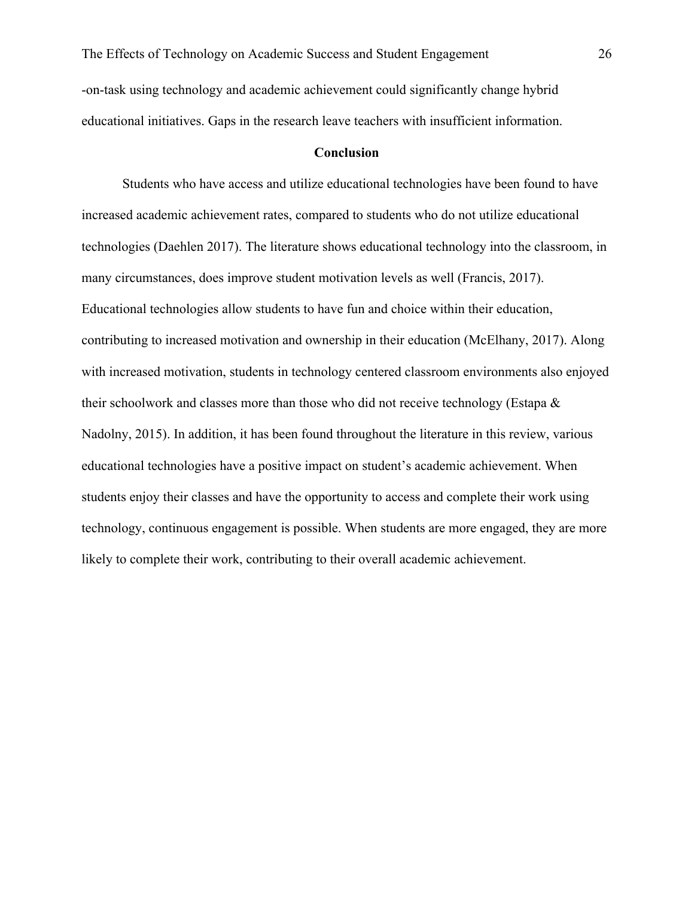-on-task using technology and academic achievement could significantly change hybrid educational initiatives. Gaps in the research leave teachers with insufficient information.

#### **Conclusion**

Students who have access and utilize educational technologies have been found to have increased academic achievement rates, compared to students who do not utilize educational technologies (Daehlen 2017). The literature shows educational technology into the classroom, in many circumstances, does improve student motivation levels as well (Francis, 2017). Educational technologies allow students to have fun and choice within their education, contributing to increased motivation and ownership in their education (McElhany, 2017). Along with increased motivation, students in technology centered classroom environments also enjoyed their schoolwork and classes more than those who did not receive technology (Estapa & Nadolny, 2015). In addition, it has been found throughout the literature in this review, various educational technologies have a positive impact on student's academic achievement. When students enjoy their classes and have the opportunity to access and complete their work using technology, continuous engagement is possible. When students are more engaged, they are more likely to complete their work, contributing to their overall academic achievement.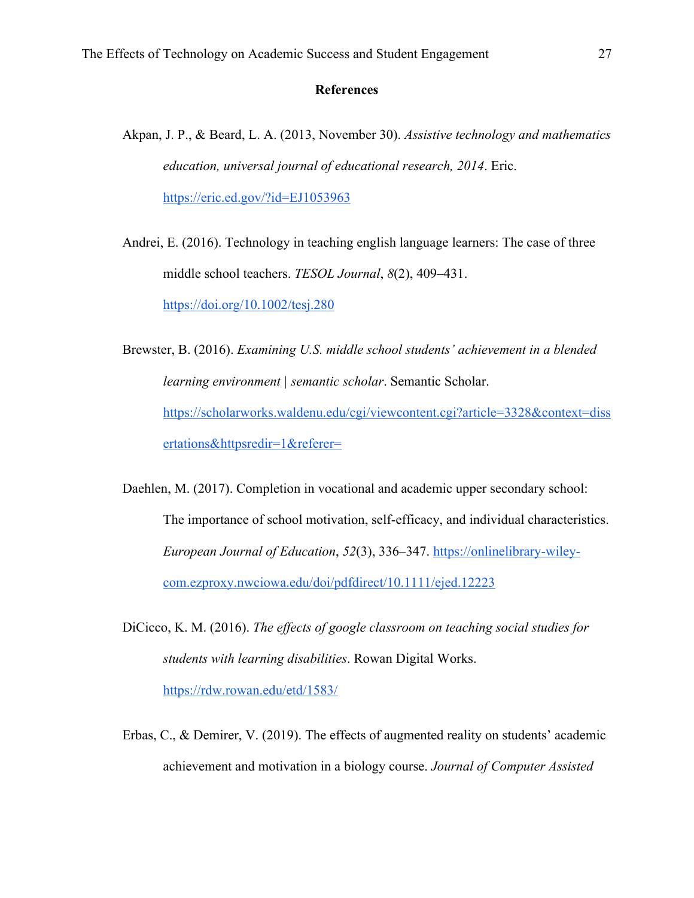#### **References**

- Akpan, J. P., & Beard, L. A. (2013, November 30). *Assistive technology and mathematics education, universal journal of educational research, 2014*. Eric. https://eric.ed.gov/?id=EJ1053963
- Andrei, E. (2016). Technology in teaching english language learners: The case of three middle school teachers. *TESOL Journal*, *8*(2), 409–431. https://doi.org/10.1002/tesj.280

Brewster, B. (2016). *Examining U.S. middle school students' achievement in a blended learning environment | semantic scholar*. Semantic Scholar. https://scholarworks.waldenu.edu/cgi/viewcontent.cgi?article=3328&context=diss ertations&httpsredir=1&referer=

Daehlen, M. (2017). Completion in vocational and academic upper secondary school: The importance of school motivation, self-efficacy, and individual characteristics. *European Journal of Education*, *52*(3), 336–347. https://onlinelibrary-wileycom.ezproxy.nwciowa.edu/doi/pdfdirect/10.1111/ejed.12223

- DiCicco, K. M. (2016). *The effects of google classroom on teaching social studies for students with learning disabilities*. Rowan Digital Works. https://rdw.rowan.edu/etd/1583/
- Erbas, C., & Demirer, V. (2019). The effects of augmented reality on students' academic achievement and motivation in a biology course. *Journal of Computer Assisted*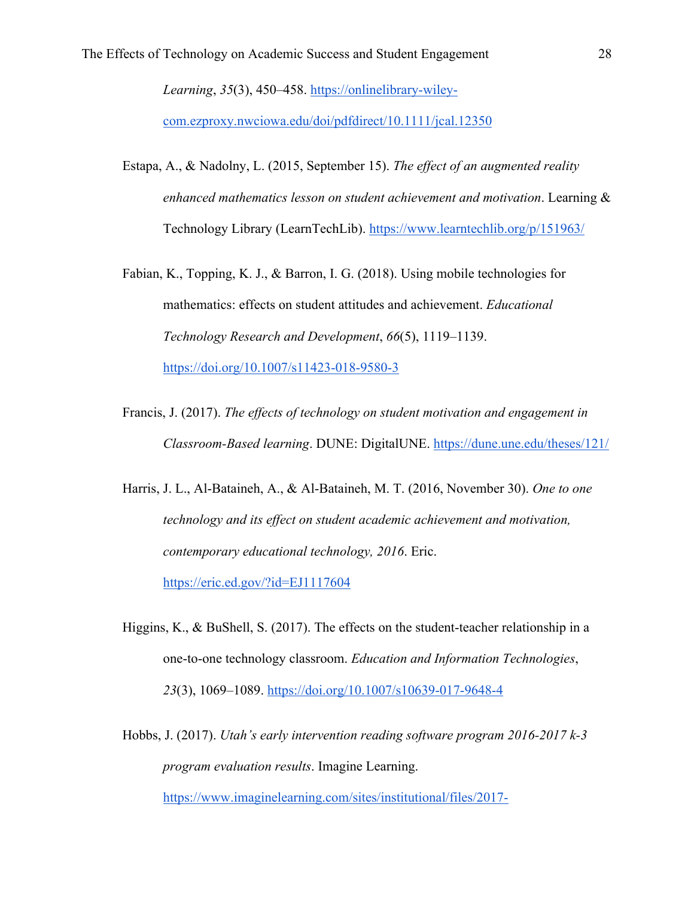*Learning*, *35*(3), 450–458. https://onlinelibrary-wiley-

com.ezproxy.nwciowa.edu/doi/pdfdirect/10.1111/jcal.12350

- Estapa, A., & Nadolny, L. (2015, September 15). *The effect of an augmented reality enhanced mathematics lesson on student achievement and motivation*. Learning & Technology Library (LearnTechLib). https://www.learntechlib.org/p/151963/
- Fabian, K., Topping, K. J., & Barron, I. G. (2018). Using mobile technologies for mathematics: effects on student attitudes and achievement. *Educational Technology Research and Development*, *66*(5), 1119–1139. https://doi.org/10.1007/s11423-018-9580-3
- Francis, J. (2017). *The effects of technology on student motivation and engagement in Classroom-Based learning*. DUNE: DigitalUNE. https://dune.une.edu/theses/121/
- Harris, J. L., Al-Bataineh, A., & Al-Bataineh, M. T. (2016, November 30). *One to one technology and its effect on student academic achievement and motivation, contemporary educational technology, 2016*. Eric.

https://eric.ed.gov/?id=EJ1117604

- Higgins, K., & BuShell, S. (2017). The effects on the student-teacher relationship in a one-to-one technology classroom. *Education and Information Technologies*, *23*(3), 1069–1089. https://doi.org/10.1007/s10639-017-9648-4
- Hobbs, J. (2017). *Utah's early intervention reading software program 2016-2017 k-3 program evaluation results*. Imagine Learning. https://www.imaginelearning.com/sites/institutional/files/2017-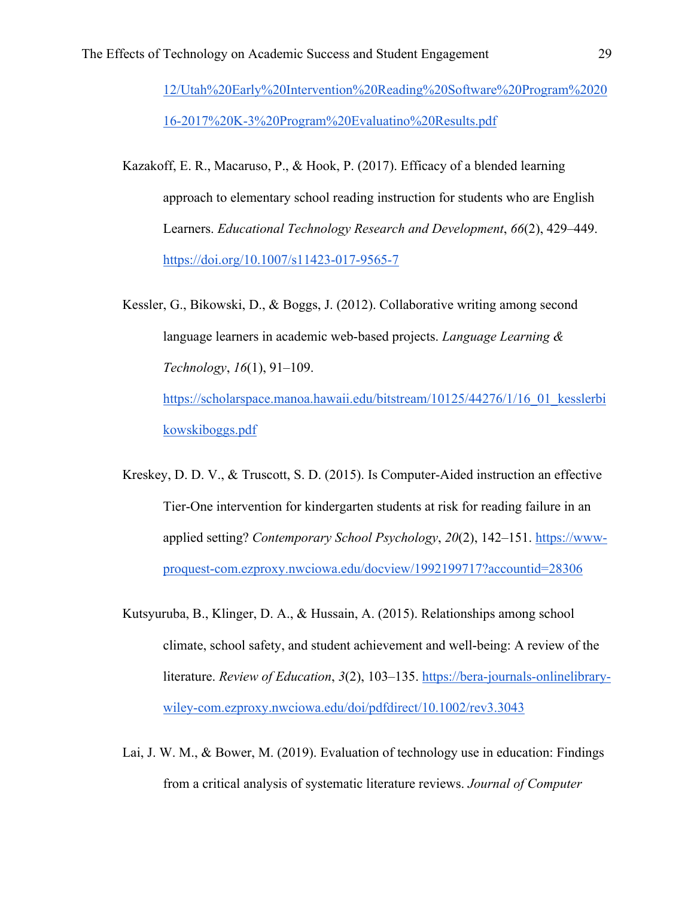12/Utah%20Early%20Intervention%20Reading%20Software%20Program%2020 16-2017%20K-3%20Program%20Evaluatino%20Results.pdf

- Kazakoff, E. R., Macaruso, P., & Hook, P. (2017). Efficacy of a blended learning approach to elementary school reading instruction for students who are English Learners. *Educational Technology Research and Development*, *66*(2), 429–449. https://doi.org/10.1007/s11423-017-9565-7
- Kessler, G., Bikowski, D., & Boggs, J. (2012). Collaborative writing among second language learners in academic web-based projects. *Language Learning & Technology*, *16*(1), 91–109. https://scholarspace.manoa.hawaii.edu/bitstream/10125/44276/1/16\_01\_kesslerbi kowskiboggs.pdf
- Kreskey, D. D. V., & Truscott, S. D. (2015). Is Computer-Aided instruction an effective Tier-One intervention for kindergarten students at risk for reading failure in an applied setting? *Contemporary School Psychology*, *20*(2), 142–151. https://wwwproquest-com.ezproxy.nwciowa.edu/docview/1992199717?accountid=28306
- Kutsyuruba, B., Klinger, D. A., & Hussain, A. (2015). Relationships among school climate, school safety, and student achievement and well-being: A review of the literature. *Review of Education*, *3*(2), 103–135. https://bera-journals-onlinelibrarywiley-com.ezproxy.nwciowa.edu/doi/pdfdirect/10.1002/rev3.3043
- Lai, J. W. M., & Bower, M. (2019). Evaluation of technology use in education: Findings from a critical analysis of systematic literature reviews. *Journal of Computer*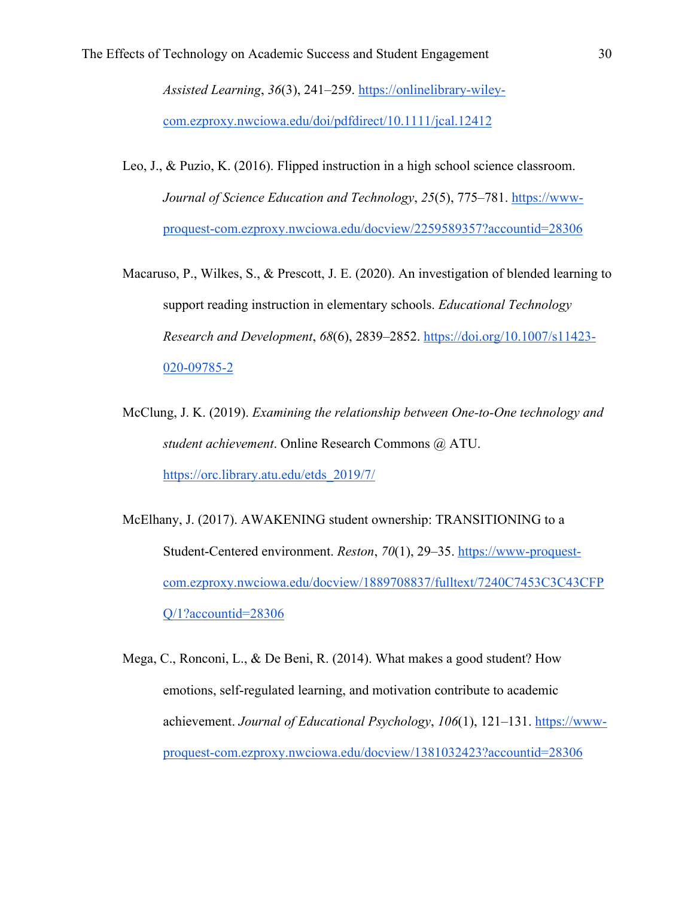*Assisted Learning*, *36*(3), 241–259. https://onlinelibrary-wileycom.ezproxy.nwciowa.edu/doi/pdfdirect/10.1111/jcal.12412

- Leo, J., & Puzio, K. (2016). Flipped instruction in a high school science classroom. *Journal of Science Education and Technology*, *25*(5), 775–781. https://wwwproquest-com.ezproxy.nwciowa.edu/docview/2259589357?accountid=28306
- Macaruso, P., Wilkes, S., & Prescott, J. E. (2020). An investigation of blended learning to support reading instruction in elementary schools. *Educational Technology Research and Development*, *68*(6), 2839–2852. https://doi.org/10.1007/s11423- 020-09785-2
- McClung, J. K. (2019). *Examining the relationship between One-to-One technology and student achievement*. Online Research Commons @ ATU. https://orc.library.atu.edu/etds\_2019/7/
- McElhany, J. (2017). AWAKENING student ownership: TRANSITIONING to a Student-Centered environment. *Reston*, *70*(1), 29–35. https://www-proquestcom.ezproxy.nwciowa.edu/docview/1889708837/fulltext/7240C7453C3C43CFP Q/1?accountid=28306
- Mega, C., Ronconi, L., & De Beni, R. (2014). What makes a good student? How emotions, self-regulated learning, and motivation contribute to academic achievement. *Journal of Educational Psychology*, *106*(1), 121–131. https://wwwproquest-com.ezproxy.nwciowa.edu/docview/1381032423?accountid=28306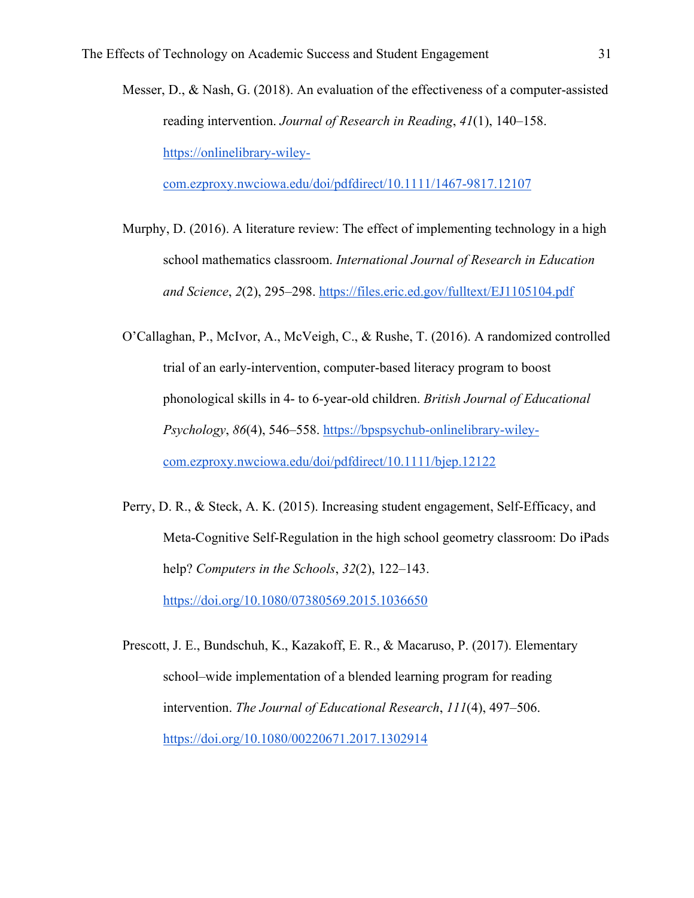Messer, D., & Nash, G. (2018). An evaluation of the effectiveness of a computer-assisted reading intervention. *Journal of Research in Reading*, *41*(1), 140–158. https://onlinelibrary-wiley-

com.ezproxy.nwciowa.edu/doi/pdfdirect/10.1111/1467-9817.12107

- Murphy, D. (2016). A literature review: The effect of implementing technology in a high school mathematics classroom. *International Journal of Research in Education and Science*, *2*(2), 295–298. https://files.eric.ed.gov/fulltext/EJ1105104.pdf
- O'Callaghan, P., McIvor, A., McVeigh, C., & Rushe, T. (2016). A randomized controlled trial of an early-intervention, computer-based literacy program to boost phonological skills in 4- to 6-year-old children. *British Journal of Educational Psychology*, *86*(4), 546–558. https://bpspsychub-onlinelibrary-wileycom.ezproxy.nwciowa.edu/doi/pdfdirect/10.1111/bjep.12122
- Perry, D. R., & Steck, A. K. (2015). Increasing student engagement, Self-Efficacy, and Meta-Cognitive Self-Regulation in the high school geometry classroom: Do iPads help? *Computers in the Schools*, *32*(2), 122–143. https://doi.org/10.1080/07380569.2015.1036650
- Prescott, J. E., Bundschuh, K., Kazakoff, E. R., & Macaruso, P. (2017). Elementary school–wide implementation of a blended learning program for reading intervention. *The Journal of Educational Research*, *111*(4), 497–506. https://doi.org/10.1080/00220671.2017.1302914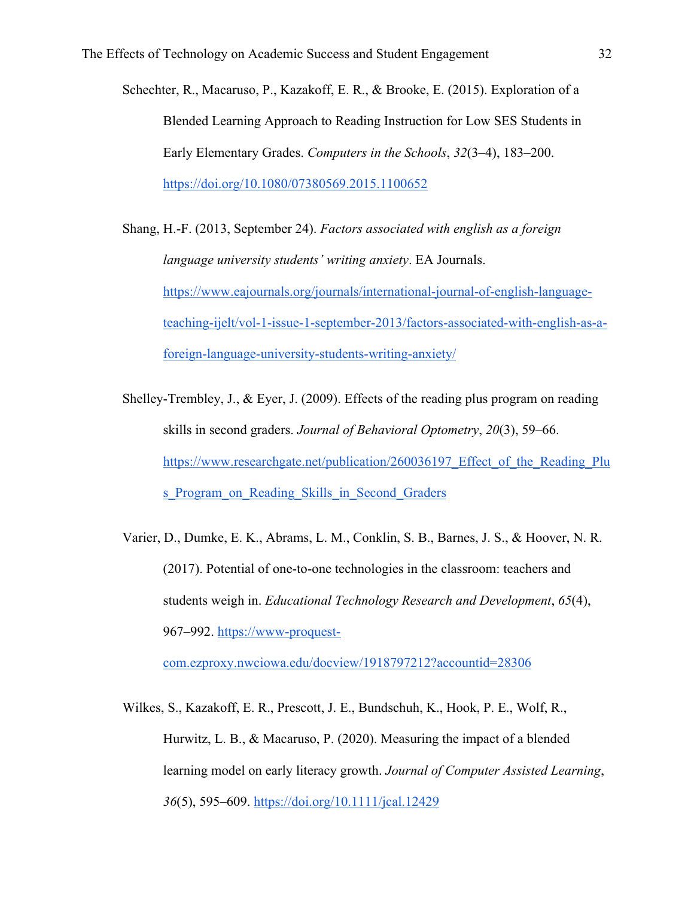- Schechter, R., Macaruso, P., Kazakoff, E. R., & Brooke, E. (2015). Exploration of a Blended Learning Approach to Reading Instruction for Low SES Students in Early Elementary Grades. *Computers in the Schools*, *32*(3–4), 183–200. https://doi.org/10.1080/07380569.2015.1100652
- Shang, H.-F. (2013, September 24). *Factors associated with english as a foreign language university students' writing anxiety*. EA Journals. https://www.eajournals.org/journals/international-journal-of-english-languageteaching-ijelt/vol-1-issue-1-september-2013/factors-associated-with-english-as-aforeign-language-university-students-writing-anxiety/
- Shelley-Trembley, J., & Eyer, J. (2009). Effects of the reading plus program on reading skills in second graders. *Journal of Behavioral Optometry*, *20*(3), 59–66. https://www.researchgate.net/publication/260036197 Effect of the Reading Plu s Program on Reading Skills in Second Graders
- Varier, D., Dumke, E. K., Abrams, L. M., Conklin, S. B., Barnes, J. S., & Hoover, N. R. (2017). Potential of one-to-one technologies in the classroom: teachers and students weigh in. *Educational Technology Research and Development*, *65*(4), 967–992. https://www-proquest-

com.ezproxy.nwciowa.edu/docview/1918797212?accountid=28306

Wilkes, S., Kazakoff, E. R., Prescott, J. E., Bundschuh, K., Hook, P. E., Wolf, R., Hurwitz, L. B., & Macaruso, P. (2020). Measuring the impact of a blended learning model on early literacy growth. *Journal of Computer Assisted Learning*, *36*(5), 595–609. https://doi.org/10.1111/jcal.12429